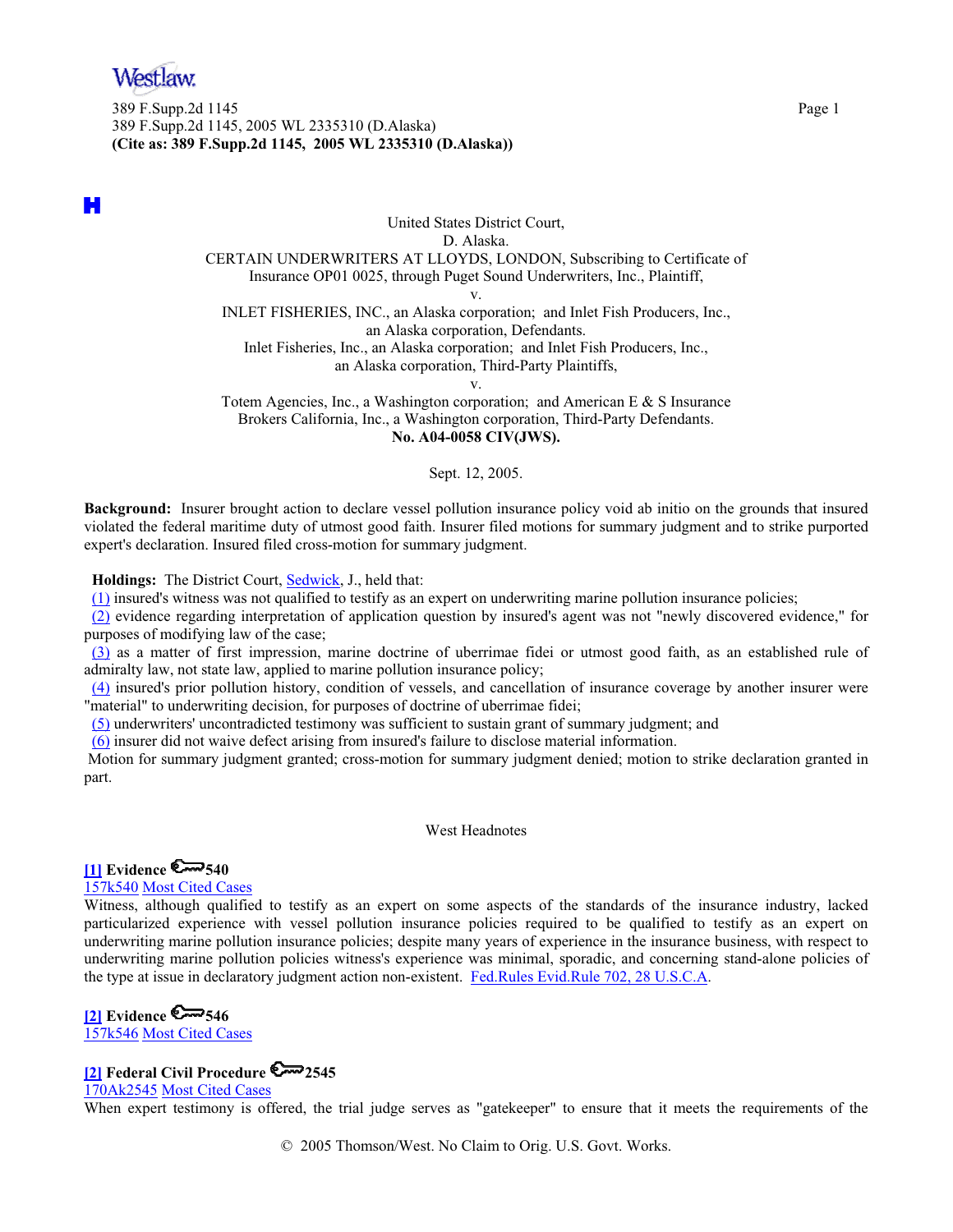

389 F.Supp.2d 1145 Page 1 389 F.Supp.2d 1145, 2005 WL 2335310 (D.Alaska) **(Cite as: 389 F.Supp.2d 1145, 2005 WL 2335310 (D.Alaska))**

H

United States District Court, D. Alaska. CERTAIN UNDERWRITERS AT LLOYDS, LONDON, Subscribing to Certificate of Insurance OP01 0025, through Puget Sound Underwriters, Inc., Plaintiff, v. INLET FISHERIES, INC., an Alaska corporation; and Inlet Fish Producers, Inc., an Alaska corporation, Defendants.

Inlet Fisheries, Inc., an Alaska corporation; and Inlet Fish Producers, Inc., an Alaska corporation, Third-Party Plaintiffs,

v.

Totem Agencies, Inc., a Washington corporation; and American E & S Insurance Brokers California, Inc., a Washington corporation, Third-Party Defendants. **No. A04-0058 CIV(JWS).**

Sept. 12, 2005.

**Background:** Insurer brought action to declare vessel pollution insurance policy void ab initio on the grounds that insured violated the federal maritime duty of utmost good faith. Insurer filed motions for summary judgment and to strike purported expert's declaration. Insured filed cross-motion for summary judgment.

**Holdings:** The District Court, Sedwick, J., held that:

(1) insured's witness was not qualified to testify as an expert on underwriting marine pollution insurance policies;

(2) evidence regarding interpretation of application question by insured's agent was not "newly discovered evidence," for purposes of modifying law of the case;

(3) as a matter of first impression, marine doctrine of uberrimae fidei or utmost good faith, as an established rule of admiralty law, not state law, applied to marine pollution insurance policy;

(4) insured's prior pollution history, condition of vessels, and cancellation of insurance coverage by another insurer were "material" to underwriting decision, for purposes of doctrine of uberrimae fidei;

(5) underwriters' uncontradicted testimony was sufficient to sustain grant of summary judgment; and

(6) insurer did not waive defect arising from insured's failure to disclose material information.

 Motion for summary judgment granted; cross-motion for summary judgment denied; motion to strike declaration granted in part.

West Headnotes

## **[1] Evidence 6 540**

157k540 Most Cited Cases

Witness, although qualified to testify as an expert on some aspects of the standards of the insurance industry, lacked particularized experience with vessel pollution insurance policies required to be qualified to testify as an expert on underwriting marine pollution insurance policies; despite many years of experience in the insurance business, with respect to underwriting marine pollution policies witness's experience was minimal, sporadic, and concerning stand-alone policies of the type at issue in declaratory judgment action non-existent. Fed.Rules Evid.Rule 702, 28 U.S.C.A.

# **[2] Evidence 6 546**

157k546 Most Cited Cases

## **[2] Federal Civil Procedure 2545**

170Ak2545 Most Cited Cases

When expert testimony is offered, the trial judge serves as "gatekeeper" to ensure that it meets the requirements of the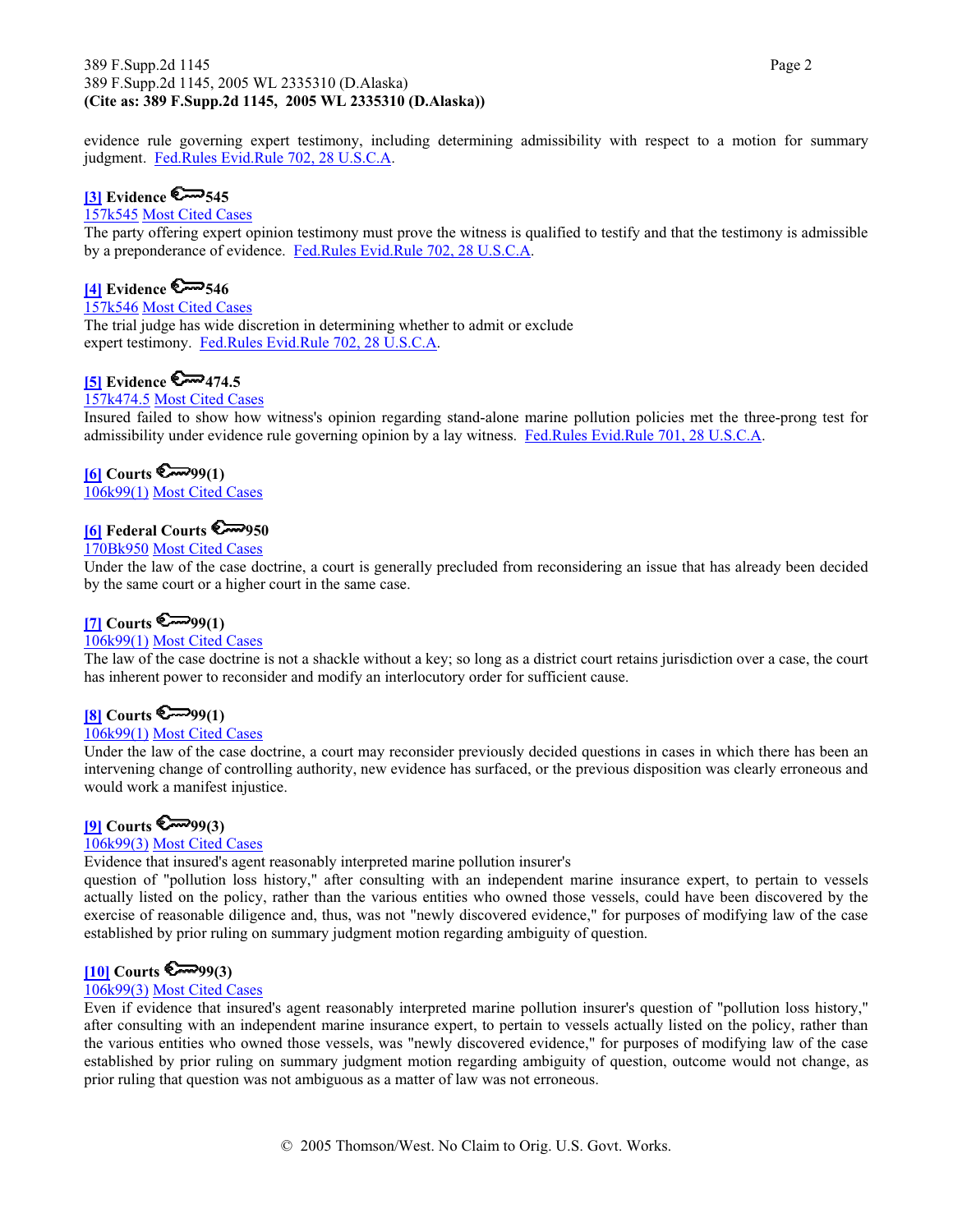#### 389 F.Supp.2d 1145 Page 2 389 F.Supp.2d 1145, 2005 WL 2335310 (D.Alaska) **(Cite as: 389 F.Supp.2d 1145, 2005 WL 2335310 (D.Alaska))**

evidence rule governing expert testimony, including determining admissibility with respect to a motion for summary judgment. Fed.Rules Evid.Rule 702, 28 U.S.C.A.

## **[3] Evidence 6 545**

#### 157k545 Most Cited Cases

The party offering expert opinion testimony must prove the witness is qualified to testify and that the testimony is admissible by a preponderance of evidence. Fed.Rules Evid.Rule 702, 28 U.S.C.A.

## **[4]** Evidence  $\mathbb{S} \rightarrow 546$

157k546 Most Cited Cases

The trial judge has wide discretion in determining whether to admit or exclude expert testimony. Fed.Rules Evid.Rule 702, 28 U.S.C.A.

## **[5] Evidence 6 474.5**

### 157k474.5 Most Cited Cases

Insured failed to show how witness's opinion regarding stand-alone marine pollution policies met the three-prong test for admissibility under evidence rule governing opinion by a lay witness. Fed.Rules Evid.Rule 701, 28 U.S.C.A.

#### $[6]$  Courts  $\mathbb{S}^{7999(1)}$

106k99(1) Most Cited Cases

## **[6] Federal Courts 950**

#### 170Bk950 Most Cited Cases

Under the law of the case doctrine, a court is generally precluded from reconsidering an issue that has already been decided by the same court or a higher court in the same case.

#### $[7]$  Courts  $\mathbb{Z}^{99(1)}$

### 106k99(1) Most Cited Cases

The law of the case doctrine is not a shackle without a key; so long as a district court retains jurisdiction over a case, the court has inherent power to reconsider and modify an interlocutory order for sufficient cause.

## **[8] Courts 6-99(1)**

#### 106k99(1) Most Cited Cases

Under the law of the case doctrine, a court may reconsider previously decided questions in cases in which there has been an intervening change of controlling authority, new evidence has surfaced, or the previous disposition was clearly erroneous and would work a manifest injustice.

#### $[9]$  Courts  $\mathbb{C}^{3}$ 99(3)

#### 106k99(3) Most Cited Cases

Evidence that insured's agent reasonably interpreted marine pollution insurer's

question of "pollution loss history," after consulting with an independent marine insurance expert, to pertain to vessels actually listed on the policy, rather than the various entities who owned those vessels, could have been discovered by the exercise of reasonable diligence and, thus, was not "newly discovered evidence," for purposes of modifying law of the case established by prior ruling on summary judgment motion regarding ambiguity of question.

### $[10]$  Courts  $\mathbb{S}^{3}$ 99(3)

#### 106k99(3) Most Cited Cases

Even if evidence that insured's agent reasonably interpreted marine pollution insurer's question of "pollution loss history," after consulting with an independent marine insurance expert, to pertain to vessels actually listed on the policy, rather than the various entities who owned those vessels, was "newly discovered evidence," for purposes of modifying law of the case established by prior ruling on summary judgment motion regarding ambiguity of question, outcome would not change, as prior ruling that question was not ambiguous as a matter of law was not erroneous.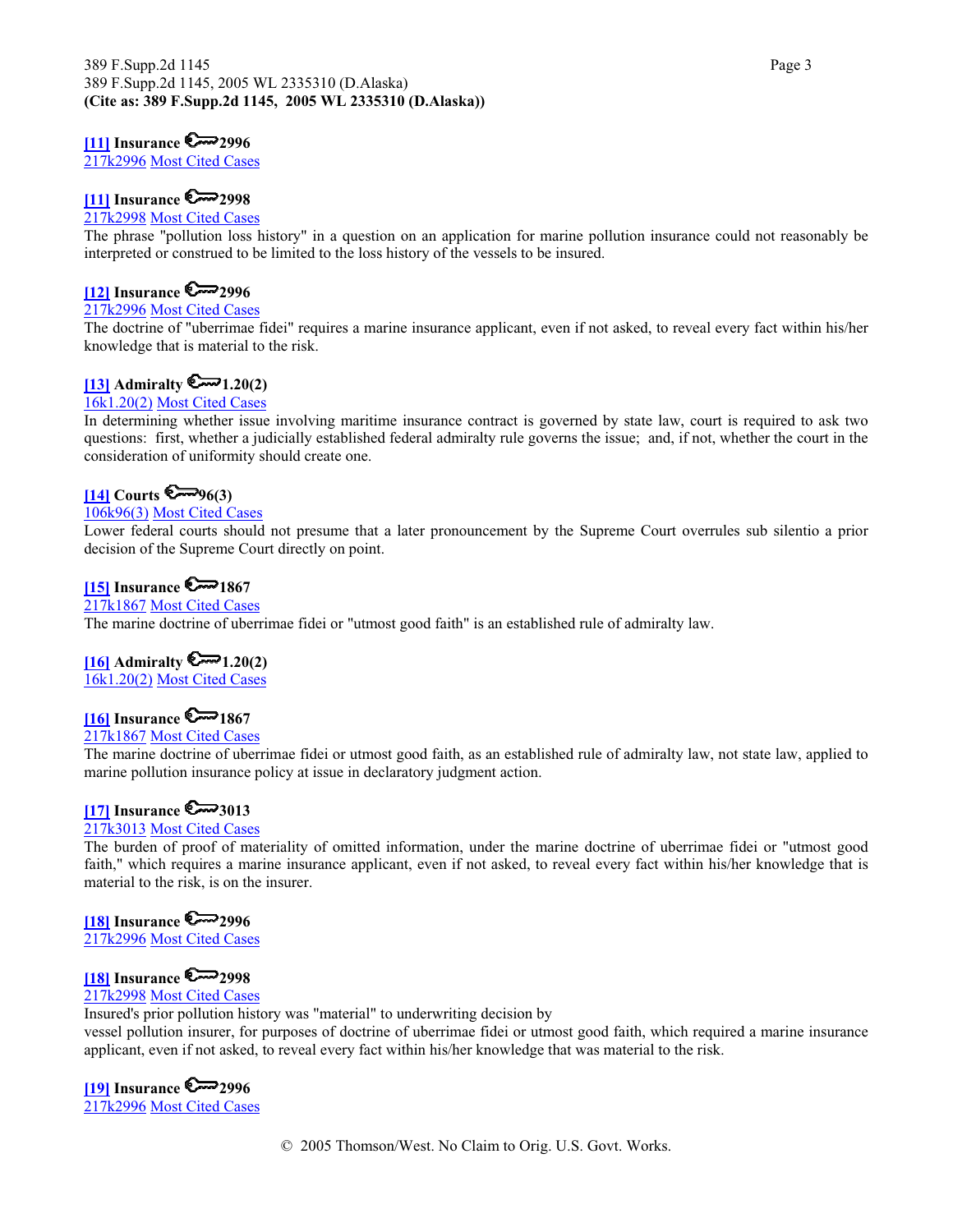#### **[11] Insurance 2996**

217k2996 Most Cited Cases

## **[11] Insurance 2998**

#### 217k2998 Most Cited Cases

The phrase "pollution loss history" in a question on an application for marine pollution insurance could not reasonably be interpreted or construed to be limited to the loss history of the vessels to be insured.

## **[12] Insurance 2996**

#### 217k2996 Most Cited Cases

The doctrine of "uberrimae fidei" requires a marine insurance applicant, even if not asked, to reveal every fact within his/her knowledge that is material to the risk.

## $[13]$  Admiralty  $\mathbb{R}$  1.20(2)

## 16k1.20(2) Most Cited Cases

In determining whether issue involving maritime insurance contract is governed by state law, court is required to ask two questions: first, whether a judicially established federal admiralty rule governs the issue; and, if not, whether the court in the consideration of uniformity should create one.

### **[14] Courts**  $\mathbb{C}^{3}$

## 106k96(3) Most Cited Cases

Lower federal courts should not presume that a later pronouncement by the Supreme Court overrules sub silentio a prior decision of the Supreme Court directly on point.

## $[15]$  Insurance  $\mathbb{R}$  1867

#### 217k1867 Most Cited Cases

The marine doctrine of uberrimae fidei or "utmost good faith" is an established rule of admiralty law.

#### $[16]$  Admiralty  $\mathbb{R}$  1.20(2)

16k1.20(2) Most Cited Cases

## $\sim$  1867 Insurance  $\sim$  1867

#### 217k1867 Most Cited Cases

The marine doctrine of uberrimae fidei or utmost good faith, as an established rule of admiralty law, not state law, applied to marine pollution insurance policy at issue in declaratory judgment action.

## $[17]$  Insurance  $\mathbb{S}^{3013}$

#### 217k3013 Most Cited Cases

The burden of proof of materiality of omitted information, under the marine doctrine of uberrimae fidei or "utmost good faith," which requires a marine insurance applicant, even if not asked, to reveal every fact within his/her knowledge that is material to the risk, is on the insurer.

## **[18] Insurance 2996**

217k2996 Most Cited Cases

## **[18]** Insurance  $\mathbb{Z}$  2998

## 217k2998 Most Cited Cases

Insured's prior pollution history was "material" to underwriting decision by

vessel pollution insurer, for purposes of doctrine of uberrimae fidei or utmost good faith, which required a marine insurance applicant, even if not asked, to reveal every fact within his/her knowledge that was material to the risk.

## **[19] Insurance 2996**

217k2996 Most Cited Cases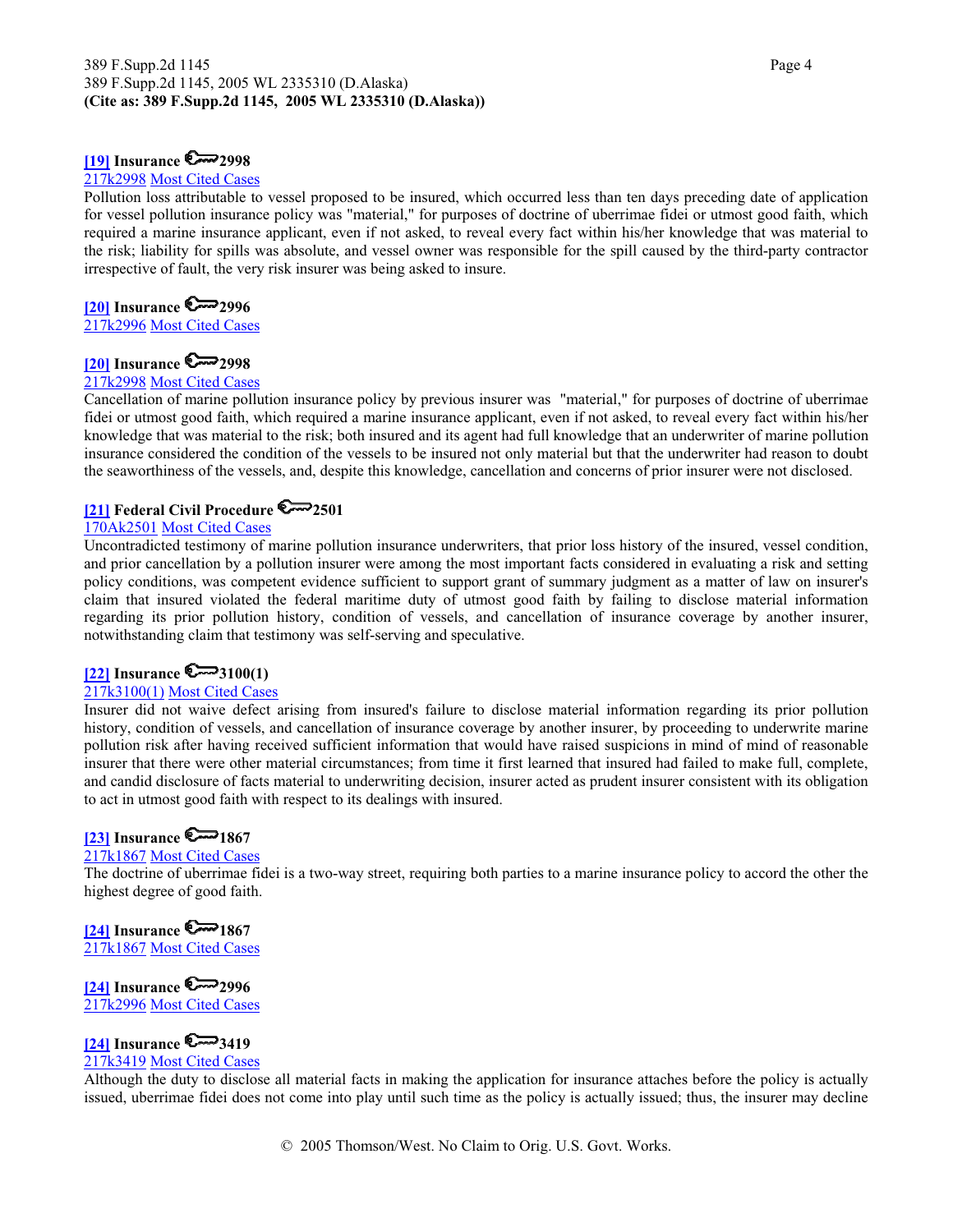#### 389 F.Supp.2d 1145 Page 4 389 F.Supp.2d 1145, 2005 WL 2335310 (D.Alaska) **(Cite as: 389 F.Supp.2d 1145, 2005 WL 2335310 (D.Alaska))**

#### **[19] Insurance 2998**

#### 217k2998 Most Cited Cases

Pollution loss attributable to vessel proposed to be insured, which occurred less than ten days preceding date of application for vessel pollution insurance policy was "material," for purposes of doctrine of uberrimae fidei or utmost good faith, which required a marine insurance applicant, even if not asked, to reveal every fact within his/her knowledge that was material to the risk; liability for spills was absolute, and vessel owner was responsible for the spill caused by the third-party contractor irrespective of fault, the very risk insurer was being asked to insure.

## **[20]** Insurance  $\mathbb{C}$  2996

217k2996 Most Cited Cases

#### **[20] Insurance 2998**

#### 217k2998 Most Cited Cases

Cancellation of marine pollution insurance policy by previous insurer was "material," for purposes of doctrine of uberrimae fidei or utmost good faith, which required a marine insurance applicant, even if not asked, to reveal every fact within his/her knowledge that was material to the risk; both insured and its agent had full knowledge that an underwriter of marine pollution insurance considered the condition of the vessels to be insured not only material but that the underwriter had reason to doubt the seaworthiness of the vessels, and, despite this knowledge, cancellation and concerns of prior insurer were not disclosed.

## **[21] Federal Civil Procedure 2501**

#### 170Ak2501 Most Cited Cases

Uncontradicted testimony of marine pollution insurance underwriters, that prior loss history of the insured, vessel condition, and prior cancellation by a pollution insurer were among the most important facts considered in evaluating a risk and setting policy conditions, was competent evidence sufficient to support grant of summary judgment as a matter of law on insurer's claim that insured violated the federal maritime duty of utmost good faith by failing to disclose material information regarding its prior pollution history, condition of vessels, and cancellation of insurance coverage by another insurer, notwithstanding claim that testimony was self-serving and speculative.

#### **[22] Insurance 3100(1)**

#### 217k3100(1) Most Cited Cases

Insurer did not waive defect arising from insured's failure to disclose material information regarding its prior pollution history, condition of vessels, and cancellation of insurance coverage by another insurer, by proceeding to underwrite marine pollution risk after having received sufficient information that would have raised suspicions in mind of mind of reasonable insurer that there were other material circumstances; from time it first learned that insured had failed to make full, complete, and candid disclosure of facts material to underwriting decision, insurer acted as prudent insurer consistent with its obligation to act in utmost good faith with respect to its dealings with insured.

## $[23]$  Insurance  $\mathbb{R}$  1867

## 217k1867 Most Cited Cases

The doctrine of uberrimae fidei is a two-way street, requiring both parties to a marine insurance policy to accord the other the highest degree of good faith.

## **[24] Insurance 2200 1867**

217k1867 Most Cited Cases

### **[24] Insurance 2996**

217k2996 Most Cited Cases

# **[24] Insurance**  $\mathbb{S} \rightarrow 3419$

### 217k3419 Most Cited Cases

Although the duty to disclose all material facts in making the application for insurance attaches before the policy is actually issued, uberrimae fidei does not come into play until such time as the policy is actually issued; thus, the insurer may decline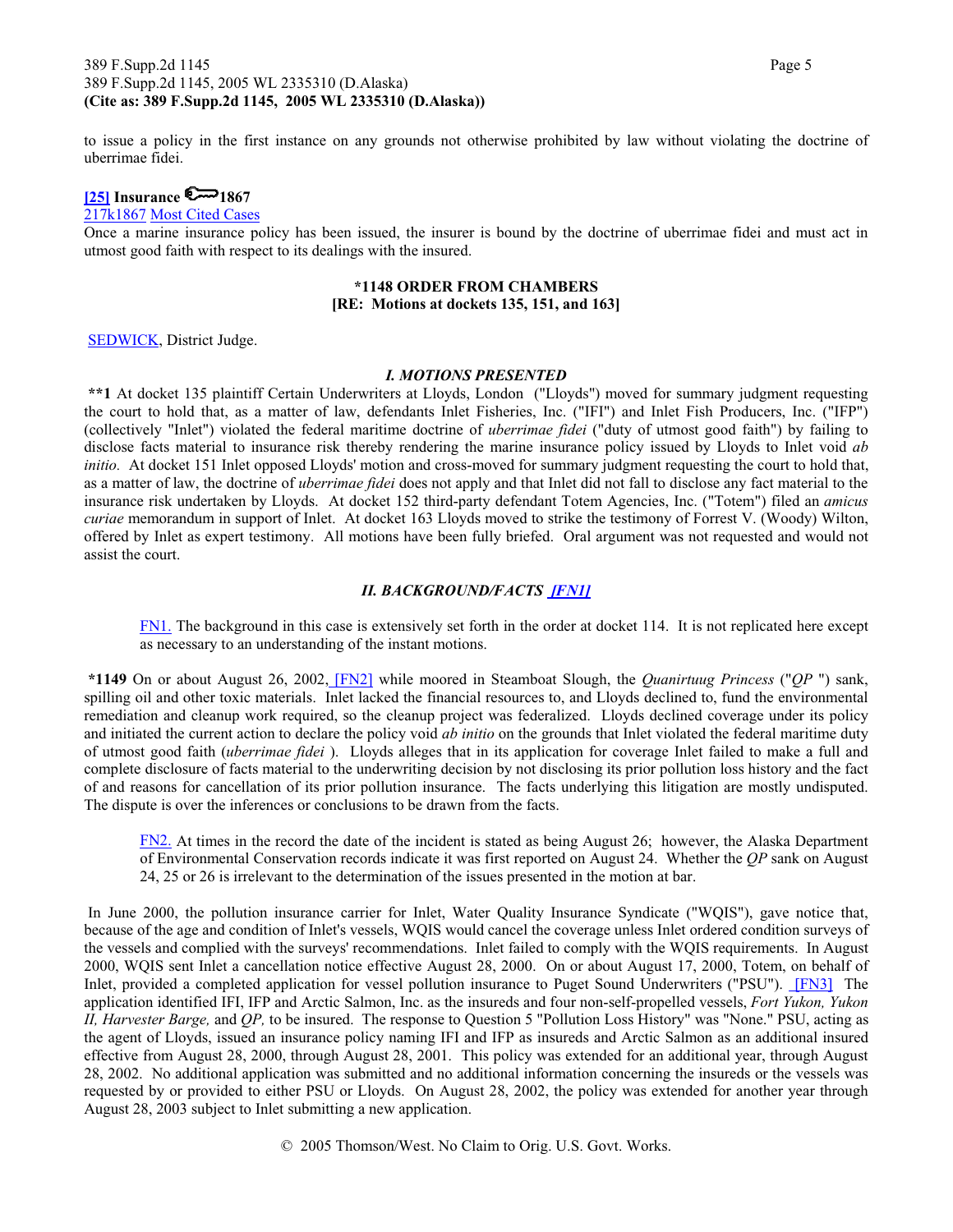#### 389 F.Supp.2d 1145 Page 5 389 F.Supp.2d 1145, 2005 WL 2335310 (D.Alaska) **(Cite as: 389 F.Supp.2d 1145, 2005 WL 2335310 (D.Alaska))**

to issue a policy in the first instance on any grounds not otherwise prohibited by law without violating the doctrine of uberrimae fidei.

## $\sim$  1867] Insurance  $\sim$  1867

217k1867 Most Cited Cases

Once a marine insurance policy has been issued, the insurer is bound by the doctrine of uberrimae fidei and must act in utmost good faith with respect to its dealings with the insured.

#### **\*1148 ORDER FROM CHAMBERS [RE: Motions at dockets 135, 151, and 163]**

SEDWICK, District Judge.

#### *I. MOTIONS PRESENTED*

**\*\*1** At docket 135 plaintiff Certain Underwriters at Lloyds, London ("Lloyds") moved for summary judgment requesting the court to hold that, as a matter of law, defendants Inlet Fisheries, Inc. ("IFI") and Inlet Fish Producers, Inc. ("IFP") (collectively "Inlet") violated the federal maritime doctrine of *uberrimae fidei* ("duty of utmost good faith") by failing to disclose facts material to insurance risk thereby rendering the marine insurance policy issued by Lloyds to Inlet void *ab initio*. At docket 151 Inlet opposed Lloyds' motion and cross-moved for summary judgment requesting the court to hold that, as a matter of law, the doctrine of *uberrimae fidei* does not apply and that Inlet did not fall to disclose any fact material to the insurance risk undertaken by Lloyds. At docket 152 third-party defendant Totem Agencies, Inc. ("Totem") filed an *amicus curiae* memorandum in support of Inlet. At docket 163 Lloyds moved to strike the testimony of Forrest V. (Woody) Wilton, offered by Inlet as expert testimony. All motions have been fully briefed. Oral argument was not requested and would not assist the court.

#### *II. BACKGROUND/FACTS [FN1]*

FN1. The background in this case is extensively set forth in the order at docket 114. It is not replicated here except as necessary to an understanding of the instant motions.

**\*1149** On or about August 26, 2002, [FN2] while moored in Steamboat Slough, the *Quanirtuug Princess* ("*QP* ") sank, spilling oil and other toxic materials. Inlet lacked the financial resources to, and Lloyds declined to, fund the environmental remediation and cleanup work required, so the cleanup project was federalized. Lloyds declined coverage under its policy and initiated the current action to declare the policy void *ab initio* on the grounds that Inlet violated the federal maritime duty of utmost good faith (*uberrimae fidei* ). Lloyds alleges that in its application for coverage Inlet failed to make a full and complete disclosure of facts material to the underwriting decision by not disclosing its prior pollution loss history and the fact of and reasons for cancellation of its prior pollution insurance. The facts underlying this litigation are mostly undisputed. The dispute is over the inferences or conclusions to be drawn from the facts.

FN2. At times in the record the date of the incident is stated as being August 26; however, the Alaska Department of Environmental Conservation records indicate it was first reported on August 24. Whether the *QP* sank on August 24, 25 or 26 is irrelevant to the determination of the issues presented in the motion at bar.

 In June 2000, the pollution insurance carrier for Inlet, Water Quality Insurance Syndicate ("WQIS"), gave notice that, because of the age and condition of Inlet's vessels, WQIS would cancel the coverage unless Inlet ordered condition surveys of the vessels and complied with the surveys' recommendations. Inlet failed to comply with the WQIS requirements. In August 2000, WQIS sent Inlet a cancellation notice effective August 28, 2000. On or about August 17, 2000, Totem, on behalf of Inlet, provided a completed application for vessel pollution insurance to Puget Sound Underwriters ("PSU"). [FN3] The application identified IFI, IFP and Arctic Salmon, Inc. as the insureds and four non-self-propelled vessels, *Fort Yukon, Yukon II, Harvester Barge,* and *QP,* to be insured. The response to Question 5 "Pollution Loss History" was "None." PSU, acting as the agent of Lloyds, issued an insurance policy naming IFI and IFP as insureds and Arctic Salmon as an additional insured effective from August 28, 2000, through August 28, 2001. This policy was extended for an additional year, through August 28, 2002. No additional application was submitted and no additional information concerning the insureds or the vessels was requested by or provided to either PSU or Lloyds. On August 28, 2002, the policy was extended for another year through August 28, 2003 subject to Inlet submitting a new application.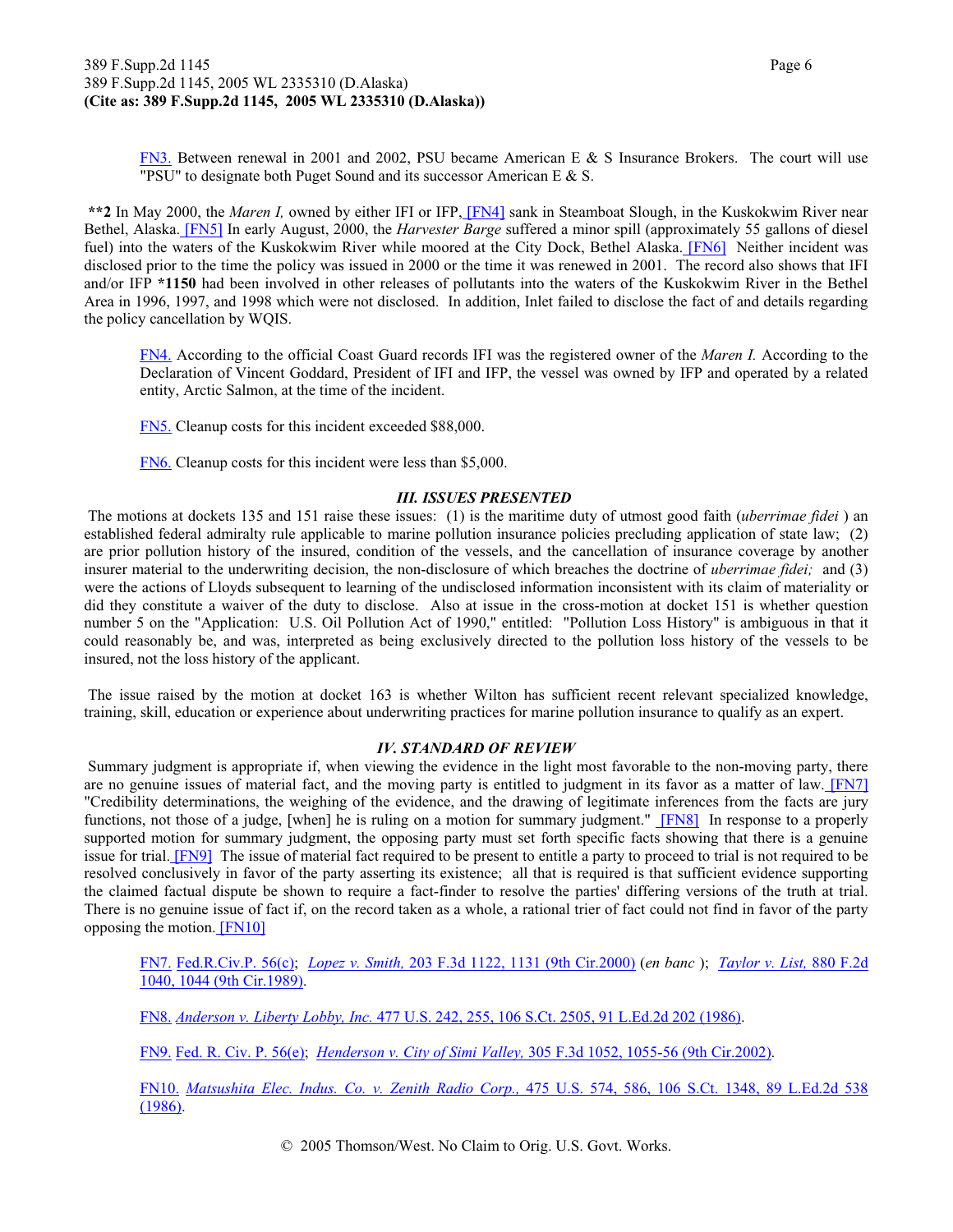FN3. Between renewal in 2001 and 2002, PSU became American E & S Insurance Brokers. The court will use "PSU" to designate both Puget Sound and its successor American E  $&$  S.

**\*\*2** In May 2000, the *Maren I,* owned by either IFI or IFP, [FN4] sank in Steamboat Slough, in the Kuskokwim River near Bethel, Alaska. [FN5] In early August, 2000, the *Harvester Barge* suffered a minor spill (approximately 55 gallons of diesel fuel) into the waters of the Kuskokwim River while moored at the City Dock, Bethel Alaska. [FN6] Neither incident was disclosed prior to the time the policy was issued in 2000 or the time it was renewed in 2001. The record also shows that IFI and/or IFP **\*1150** had been involved in other releases of pollutants into the waters of the Kuskokwim River in the Bethel Area in 1996, 1997, and 1998 which were not disclosed. In addition, Inlet failed to disclose the fact of and details regarding the policy cancellation by WQIS.

FN4. According to the official Coast Guard records IFI was the registered owner of the *Maren I.* According to the Declaration of Vincent Goddard, President of IFI and IFP, the vessel was owned by IFP and operated by a related entity, Arctic Salmon, at the time of the incident.

FN5. Cleanup costs for this incident exceeded \$88,000.

FN6. Cleanup costs for this incident were less than \$5,000.

#### *III. ISSUES PRESENTED*

 The motions at dockets 135 and 151 raise these issues: (1) is the maritime duty of utmost good faith (*uberrimae fidei* ) an established federal admiralty rule applicable to marine pollution insurance policies precluding application of state law; (2) are prior pollution history of the insured, condition of the vessels, and the cancellation of insurance coverage by another insurer material to the underwriting decision, the non-disclosure of which breaches the doctrine of *uberrimae fidei;* and (3) were the actions of Lloyds subsequent to learning of the undisclosed information inconsistent with its claim of materiality or did they constitute a waiver of the duty to disclose. Also at issue in the cross-motion at docket 151 is whether question number 5 on the "Application: U.S. Oil Pollution Act of 1990," entitled: "Pollution Loss History" is ambiguous in that it could reasonably be, and was, interpreted as being exclusively directed to the pollution loss history of the vessels to be insured, not the loss history of the applicant.

 The issue raised by the motion at docket 163 is whether Wilton has sufficient recent relevant specialized knowledge, training, skill, education or experience about underwriting practices for marine pollution insurance to qualify as an expert.

#### *IV. STANDARD OF REVIEW*

 Summary judgment is appropriate if, when viewing the evidence in the light most favorable to the non-moving party, there are no genuine issues of material fact, and the moving party is entitled to judgment in its favor as a matter of law. [FN7] "Credibility determinations, the weighing of the evidence, and the drawing of legitimate inferences from the facts are jury functions, not those of a judge, [when] he is ruling on a motion for summary judgment." [FN8] In response to a properly supported motion for summary judgment, the opposing party must set forth specific facts showing that there is a genuine issue for trial. [FN9] The issue of material fact required to be present to entitle a party to proceed to trial is not required to be resolved conclusively in favor of the party asserting its existence; all that is required is that sufficient evidence supporting the claimed factual dispute be shown to require a fact-finder to resolve the parties' differing versions of the truth at trial. There is no genuine issue of fact if, on the record taken as a whole, a rational trier of fact could not find in favor of the party opposing the motion. [FN10]

FN7. Fed.R.Civ.P. 56(c); *Lopez v. Smith,* 203 F.3d 1122, 1131 (9th Cir.2000) (*en banc* ); *Taylor v. List,* 880 F.2d 1040, 1044 (9th Cir.1989).

FN8. *Anderson v. Liberty Lobby, Inc.* 477 U.S. 242, 255, 106 S.Ct. 2505, 91 L.Ed.2d 202 (1986).

FN9. Fed. R. Civ. P. 56(e); *Henderson v. City of Simi Valley,* 305 F.3d 1052, 1055-56 (9th Cir.2002).

FN10. *Matsushita Elec. Indus. Co. v. Zenith Radio Corp.,* 475 U.S. 574, 586, 106 S.Ct. 1348, 89 L.Ed.2d 538 (1986).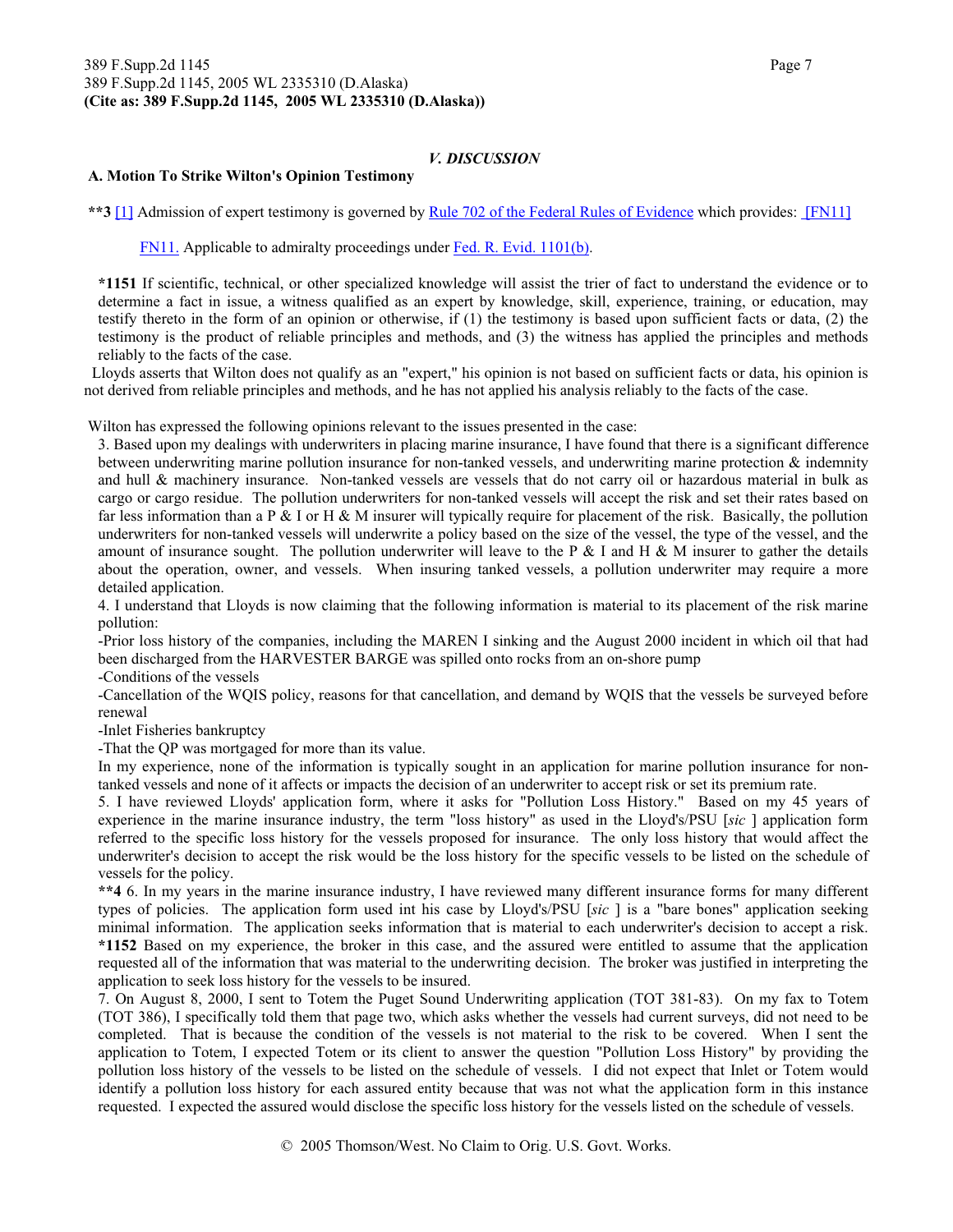#### *V. DISCUSSION*

#### **A. Motion To Strike Wilton's Opinion Testimony**

**\*\*3** [1] Admission of expert testimony is governed by Rule 702 of the Federal Rules of Evidence which provides: [FN11]

FN11. Applicable to admiralty proceedings under Fed. R. Evid. 1101(b).

**\*1151** If scientific, technical, or other specialized knowledge will assist the trier of fact to understand the evidence or to determine a fact in issue, a witness qualified as an expert by knowledge, skill, experience, training, or education, may testify thereto in the form of an opinion or otherwise, if (1) the testimony is based upon sufficient facts or data, (2) the testimony is the product of reliable principles and methods, and (3) the witness has applied the principles and methods reliably to the facts of the case.

 Lloyds asserts that Wilton does not qualify as an "expert," his opinion is not based on sufficient facts or data, his opinion is not derived from reliable principles and methods, and he has not applied his analysis reliably to the facts of the case.

Wilton has expressed the following opinions relevant to the issues presented in the case:

3. Based upon my dealings with underwriters in placing marine insurance, I have found that there is a significant difference between underwriting marine pollution insurance for non-tanked vessels, and underwriting marine protection & indemnity and hull & machinery insurance. Non-tanked vessels are vessels that do not carry oil or hazardous material in bulk as cargo or cargo residue. The pollution underwriters for non-tanked vessels will accept the risk and set their rates based on far less information than a P  $\&$  I or H  $\&$  M insurer will typically require for placement of the risk. Basically, the pollution underwriters for non-tanked vessels will underwrite a policy based on the size of the vessel, the type of the vessel, and the amount of insurance sought. The pollution underwriter will leave to the P  $\&$  I and H  $\&$  M insurer to gather the details about the operation, owner, and vessels. When insuring tanked vessels, a pollution underwriter may require a more detailed application.

4. I understand that Lloyds is now claiming that the following information is material to its placement of the risk marine pollution:

-Prior loss history of the companies, including the MAREN I sinking and the August 2000 incident in which oil that had been discharged from the HARVESTER BARGE was spilled onto rocks from an on-shore pump

-Conditions of the vessels

-Cancellation of the WQIS policy, reasons for that cancellation, and demand by WQIS that the vessels be surveyed before renewal

-Inlet Fisheries bankruptcy

-That the QP was mortgaged for more than its value.

In my experience, none of the information is typically sought in an application for marine pollution insurance for nontanked vessels and none of it affects or impacts the decision of an underwriter to accept risk or set its premium rate.

5. I have reviewed Lloyds' application form, where it asks for "Pollution Loss History." Based on my 45 years of experience in the marine insurance industry, the term "loss history" as used in the Lloyd's/PSU [*sic* ] application form referred to the specific loss history for the vessels proposed for insurance. The only loss history that would affect the underwriter's decision to accept the risk would be the loss history for the specific vessels to be listed on the schedule of vessels for the policy.

**\*\*4** 6. In my years in the marine insurance industry, I have reviewed many different insurance forms for many different types of policies. The application form used int his case by Lloyd's/PSU [*sic* ] is a "bare bones" application seeking minimal information. The application seeks information that is material to each underwriter's decision to accept a risk. **\*1152** Based on my experience, the broker in this case, and the assured were entitled to assume that the application requested all of the information that was material to the underwriting decision. The broker was justified in interpreting the application to seek loss history for the vessels to be insured.

7. On August 8, 2000, I sent to Totem the Puget Sound Underwriting application (TOT 381-83). On my fax to Totem (TOT 386), I specifically told them that page two, which asks whether the vessels had current surveys, did not need to be completed. That is because the condition of the vessels is not material to the risk to be covered. When I sent the application to Totem, I expected Totem or its client to answer the question "Pollution Loss History" by providing the pollution loss history of the vessels to be listed on the schedule of vessels. I did not expect that Inlet or Totem would identify a pollution loss history for each assured entity because that was not what the application form in this instance requested. I expected the assured would disclose the specific loss history for the vessels listed on the schedule of vessels.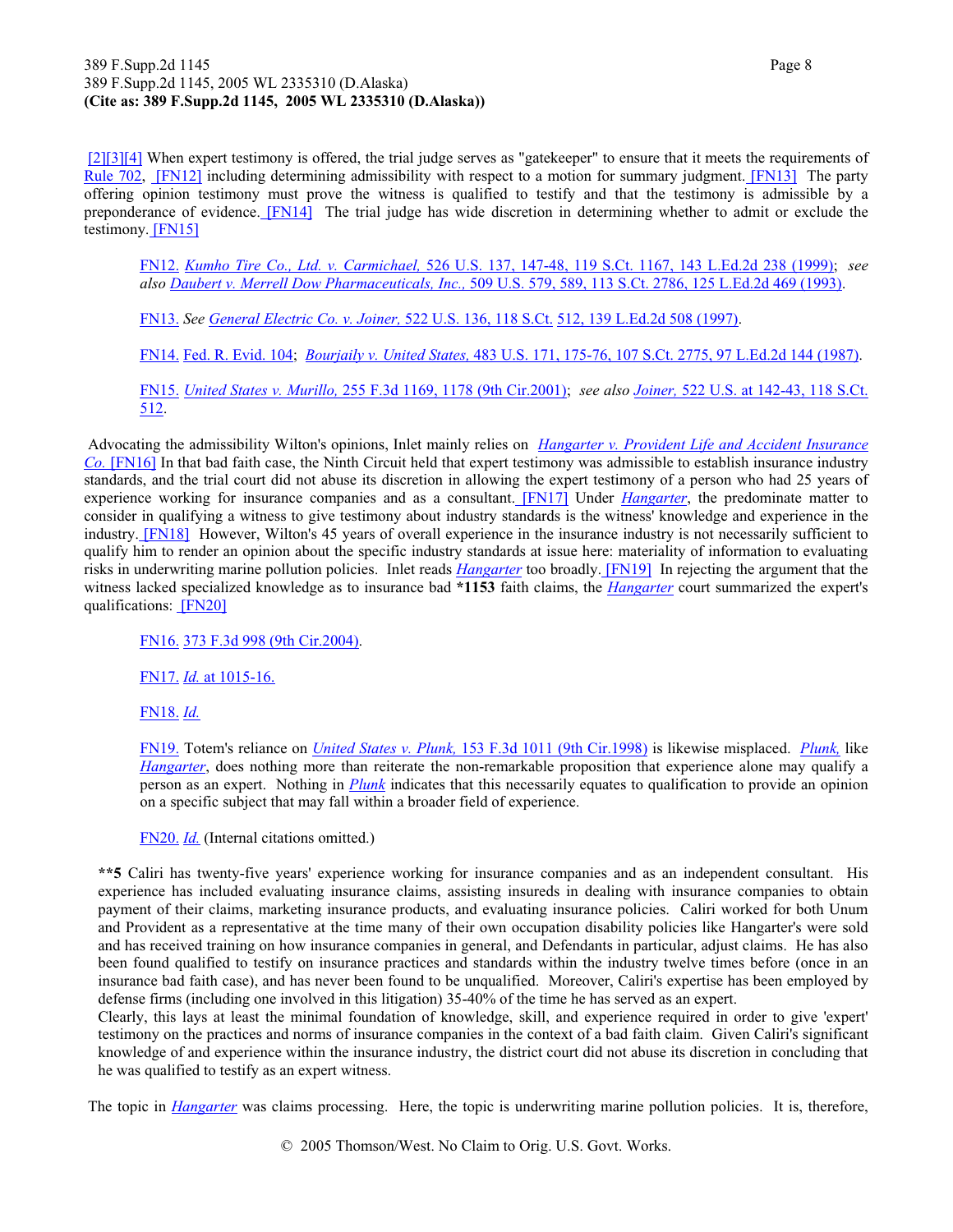#### 389 F.Supp.2d 1145 Page 8 389 F.Supp.2d 1145, 2005 WL 2335310 (D.Alaska) **(Cite as: 389 F.Supp.2d 1145, 2005 WL 2335310 (D.Alaska))**

[2][3][4] When expert testimony is offered, the trial judge serves as "gatekeeper" to ensure that it meets the requirements of Rule 702, [FN12] including determining admissibility with respect to a motion for summary judgment. [FN13] The party offering opinion testimony must prove the witness is qualified to testify and that the testimony is admissible by a preponderance of evidence. [FN14] The trial judge has wide discretion in determining whether to admit or exclude the testimony. [FN15]

FN12. *Kumho Tire Co., Ltd. v. Carmichael,* 526 U.S. 137, 147-48, 119 S.Ct. 1167, 143 L.Ed.2d 238 (1999); *see also Daubert v. Merrell Dow Pharmaceuticals, Inc.,* 509 U.S. 579, 589, 113 S.Ct. 2786, 125 L.Ed.2d 469 (1993).

FN13. *See General Electric Co. v. Joiner,* 522 U.S. 136, 118 S.Ct. 512, 139 L.Ed.2d 508 (1997).

FN14. Fed. R. Evid. 104; *Bourjaily v. United States,* 483 U.S. 171, 175-76, 107 S.Ct. 2775, 97 L.Ed.2d 144 (1987).

FN15. *United States v. Murillo,* 255 F.3d 1169, 1178 (9th Cir.2001); *see also Joiner,* 522 U.S. at 142-43, 118 S.Ct. 512.

 Advocating the admissibility Wilton's opinions, Inlet mainly relies on *Hangarter v. Provident Life and Accident Insurance Co.* [FN16] In that bad faith case, the Ninth Circuit held that expert testimony was admissible to establish insurance industry standards, and the trial court did not abuse its discretion in allowing the expert testimony of a person who had 25 years of experience working for insurance companies and as a consultant. [FN17] Under *Hangarter*, the predominate matter to consider in qualifying a witness to give testimony about industry standards is the witness' knowledge and experience in the industry. [FN18] However, Wilton's 45 years of overall experience in the insurance industry is not necessarily sufficient to qualify him to render an opinion about the specific industry standards at issue here: materiality of information to evaluating risks in underwriting marine pollution policies. Inlet reads *Hangarter* too broadly. [FN19] In rejecting the argument that the witness lacked specialized knowledge as to insurance bad **\*1153** faith claims, the *Hangarter* court summarized the expert's qualifications: [FN20]

FN16. 373 F.3d 998 (9th Cir.2004).

FN17. *Id.* at 1015-16.

FN18. *Id.*

FN19. Totem's reliance on *United States v. Plunk,* 153 F.3d 1011 (9th Cir.1998) is likewise misplaced. *Plunk,* like *Hangarter*, does nothing more than reiterate the non-remarkable proposition that experience alone may qualify a person as an expert. Nothing in *Plunk* indicates that this necessarily equates to qualification to provide an opinion on a specific subject that may fall within a broader field of experience.

FN20. *Id.* (Internal citations omitted.)

**\*\*5** Caliri has twenty-five years' experience working for insurance companies and as an independent consultant. His experience has included evaluating insurance claims, assisting insureds in dealing with insurance companies to obtain payment of their claims, marketing insurance products, and evaluating insurance policies. Caliri worked for both Unum and Provident as a representative at the time many of their own occupation disability policies like Hangarter's were sold and has received training on how insurance companies in general, and Defendants in particular, adjust claims. He has also been found qualified to testify on insurance practices and standards within the industry twelve times before (once in an insurance bad faith case), and has never been found to be unqualified. Moreover, Caliri's expertise has been employed by defense firms (including one involved in this litigation) 35-40% of the time he has served as an expert.

Clearly, this lays at least the minimal foundation of knowledge, skill, and experience required in order to give 'expert' testimony on the practices and norms of insurance companies in the context of a bad faith claim. Given Caliri's significant knowledge of and experience within the insurance industry, the district court did not abuse its discretion in concluding that he was qualified to testify as an expert witness.

The topic in *Hangarter* was claims processing. Here, the topic is underwriting marine pollution policies. It is, therefore,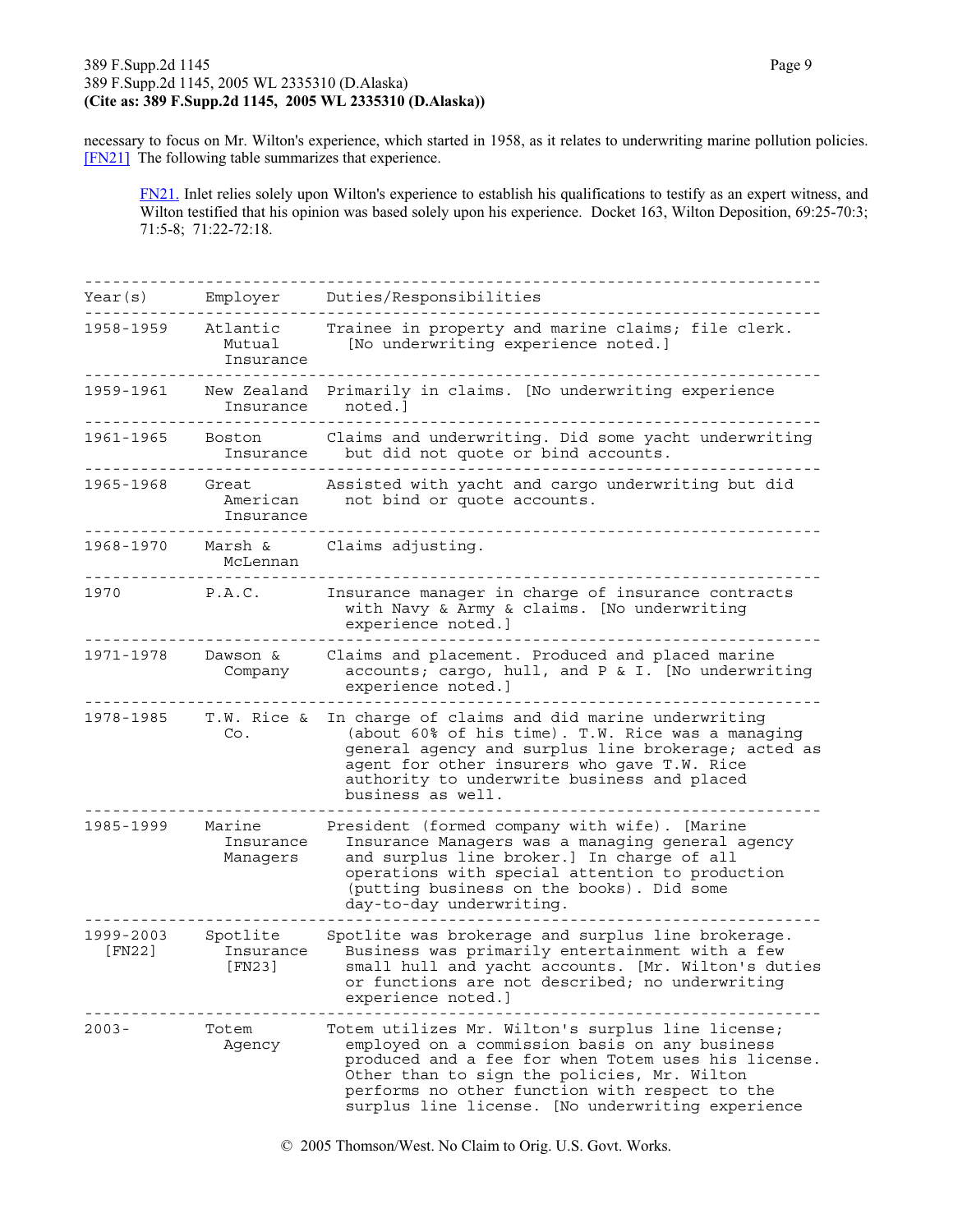#### 389 F.Supp.2d 1145 Page 9 389 F.Supp.2d 1145, 2005 WL 2335310 (D.Alaska) **(Cite as: 389 F.Supp.2d 1145, 2005 WL 2335310 (D.Alaska))**

necessary to focus on Mr. Wilton's experience, which started in 1958, as it relates to underwriting marine pollution policies. [FN21] The following table summarizes that experience.

FN21. Inlet relies solely upon Wilton's experience to establish his qualifications to testify as an expert witness, and Wilton testified that his opinion was based solely upon his experience. Docket 163, Wilton Deposition, 69:25-70:3; 71:5-8; 71:22-72:18.

| Year(s)             | Employer                        | Duties/Responsibilities                                                                                                                                                                                                                                                                                          |
|---------------------|---------------------------------|------------------------------------------------------------------------------------------------------------------------------------------------------------------------------------------------------------------------------------------------------------------------------------------------------------------|
| 1958-1959           | Atlantic<br>Mutual<br>Insurance | Trainee in property and marine claims; file clerk.<br>[No underwriting experience noted.]                                                                                                                                                                                                                        |
| 1959-1961           | Insurance                       | New Zealand Primarily in claims. [No underwriting experience<br>noted.]                                                                                                                                                                                                                                          |
| 1961–1965           | Boston<br>Insurance             | Claims and underwriting. Did some yacht underwriting<br>but did not quote or bind accounts.                                                                                                                                                                                                                      |
| 1965-1968           | Great<br>American<br>Insurance  | Assisted with yacht and cargo underwriting but did<br>not bind or quote accounts.                                                                                                                                                                                                                                |
| 1968-1970           | Marsh &<br>McLennan             | Claims adjusting.                                                                                                                                                                                                                                                                                                |
| 1970                | P.A.C.                          | Insurance manager in charge of insurance contracts<br>with Navy & Army & claims. [No underwriting<br>experience noted.]                                                                                                                                                                                          |
| 1971-1978           | Dawson &<br>Company             | Claims and placement. Produced and placed marine<br>accounts; cargo, hull, and P & I. [No underwriting<br>experience noted.]                                                                                                                                                                                     |
| 1978-1985           | T.W. Rice &<br>Co.              | In charge of claims and did marine underwriting<br>(about 60% of his time). T.W. Rice was a managing<br>general agency and surplus line brokerage; acted as<br>agent for other insurers who gave T.W. Rice<br>authority to underwrite business and placed<br>business as well.                                   |
| 1985-1999           | Marine<br>Insurance<br>Managers | President (formed company with wife). [Marine<br>Insurance Managers was a managing general agency<br>and surplus line broker.] In charge of all<br>operations with special attention to production<br>(putting business on the books). Did some<br>day-to-day underwriting.                                      |
| 1999-2003<br>[FN22] | Spotlite<br>Insurance<br>[FN23] | Spotlite was brokerage and surplus line brokerage.<br>Business was primarily entertainment with a few<br>small hull and yacht accounts. [Mr. Wilton's duties<br>or functions are not described; no underwriting<br>experience noted.]                                                                            |
| $2003 -$            | Totem<br>Agency                 | Totem utilizes Mr. Wilton's surplus line license;<br>employed on a commission basis on any business<br>produced and a fee for when Totem uses his license.<br>Other than to sign the policies, Mr. Wilton<br>performs no other function with respect to the<br>surplus line license. [No underwriting experience |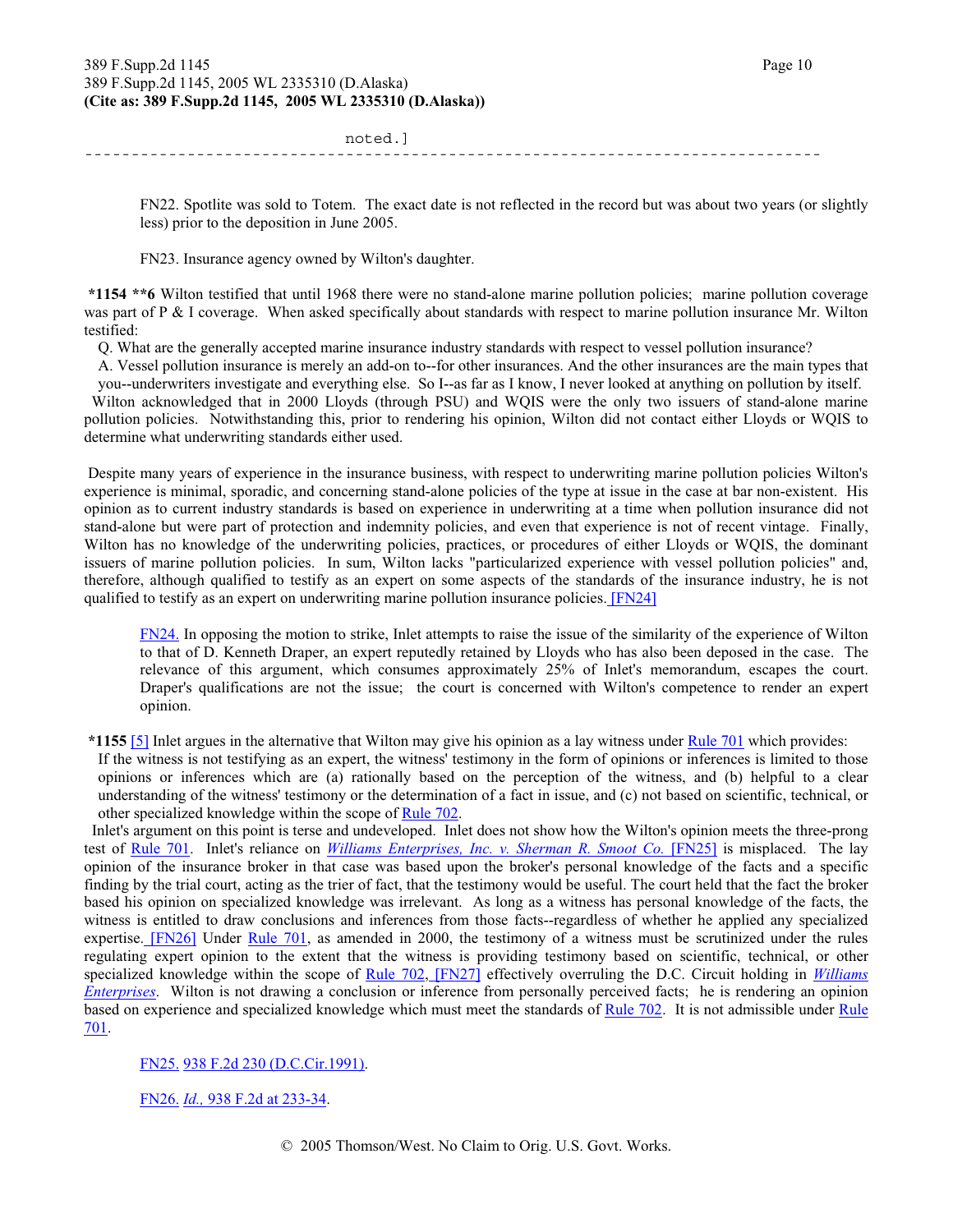noted.] -------------------------------------------------------------------------------

FN22. Spotlite was sold to Totem. The exact date is not reflected in the record but was about two years (or slightly less) prior to the deposition in June 2005.

FN23. Insurance agency owned by Wilton's daughter.

**\*1154 \*\*6** Wilton testified that until 1968 there were no stand-alone marine pollution policies; marine pollution coverage was part of P & I coverage. When asked specifically about standards with respect to marine pollution insurance Mr. Wilton testified:

Q. What are the generally accepted marine insurance industry standards with respect to vessel pollution insurance?

A. Vessel pollution insurance is merely an add-on to--for other insurances. And the other insurances are the main types that you--underwriters investigate and everything else. So I--as far as I know, I never looked at anything on pollution by itself.

 Wilton acknowledged that in 2000 Lloyds (through PSU) and WQIS were the only two issuers of stand-alone marine pollution policies. Notwithstanding this, prior to rendering his opinion, Wilton did not contact either Lloyds or WQIS to determine what underwriting standards either used.

 Despite many years of experience in the insurance business, with respect to underwriting marine pollution policies Wilton's experience is minimal, sporadic, and concerning stand-alone policies of the type at issue in the case at bar non-existent. His opinion as to current industry standards is based on experience in underwriting at a time when pollution insurance did not stand-alone but were part of protection and indemnity policies, and even that experience is not of recent vintage. Finally, Wilton has no knowledge of the underwriting policies, practices, or procedures of either Lloyds or WQIS, the dominant issuers of marine pollution policies. In sum, Wilton lacks "particularized experience with vessel pollution policies" and, therefore, although qualified to testify as an expert on some aspects of the standards of the insurance industry, he is not qualified to testify as an expert on underwriting marine pollution insurance policies. [FN24]

FN24. In opposing the motion to strike, Inlet attempts to raise the issue of the similarity of the experience of Wilton to that of D. Kenneth Draper, an expert reputedly retained by Lloyds who has also been deposed in the case. The relevance of this argument, which consumes approximately 25% of Inlet's memorandum, escapes the court. Draper's qualifications are not the issue; the court is concerned with Wilton's competence to render an expert opinion.

**\*1155** [5] Inlet argues in the alternative that Wilton may give his opinion as a lay witness under Rule 701 which provides:

If the witness is not testifying as an expert, the witness' testimony in the form of opinions or inferences is limited to those opinions or inferences which are (a) rationally based on the perception of the witness, and (b) helpful to a clear understanding of the witness' testimony or the determination of a fact in issue, and (c) not based on scientific, technical, or other specialized knowledge within the scope of Rule 702.

 Inlet's argument on this point is terse and undeveloped. Inlet does not show how the Wilton's opinion meets the three-prong test of Rule 701. Inlet's reliance on *Williams Enterprises, Inc. v. Sherman R. Smoot Co.* [FN25] is misplaced. The lay opinion of the insurance broker in that case was based upon the broker's personal knowledge of the facts and a specific finding by the trial court, acting as the trier of fact, that the testimony would be useful. The court held that the fact the broker based his opinion on specialized knowledge was irrelevant. As long as a witness has personal knowledge of the facts, the witness is entitled to draw conclusions and inferences from those facts--regardless of whether he applied any specialized expertise. [FN26] Under Rule 701, as amended in 2000, the testimony of a witness must be scrutinized under the rules regulating expert opinion to the extent that the witness is providing testimony based on scientific, technical, or other specialized knowledge within the scope of Rule 702, [FN27] effectively overruling the D.C. Circuit holding in *Williams Enterprises*. Wilton is not drawing a conclusion or inference from personally perceived facts; he is rendering an opinion based on experience and specialized knowledge which must meet the standards of Rule 702. It is not admissible under Rule 701.

#### FN25. 938 F.2d 230 (D.C.Cir.1991).

FN26. *Id.,* 938 F.2d at 233-34.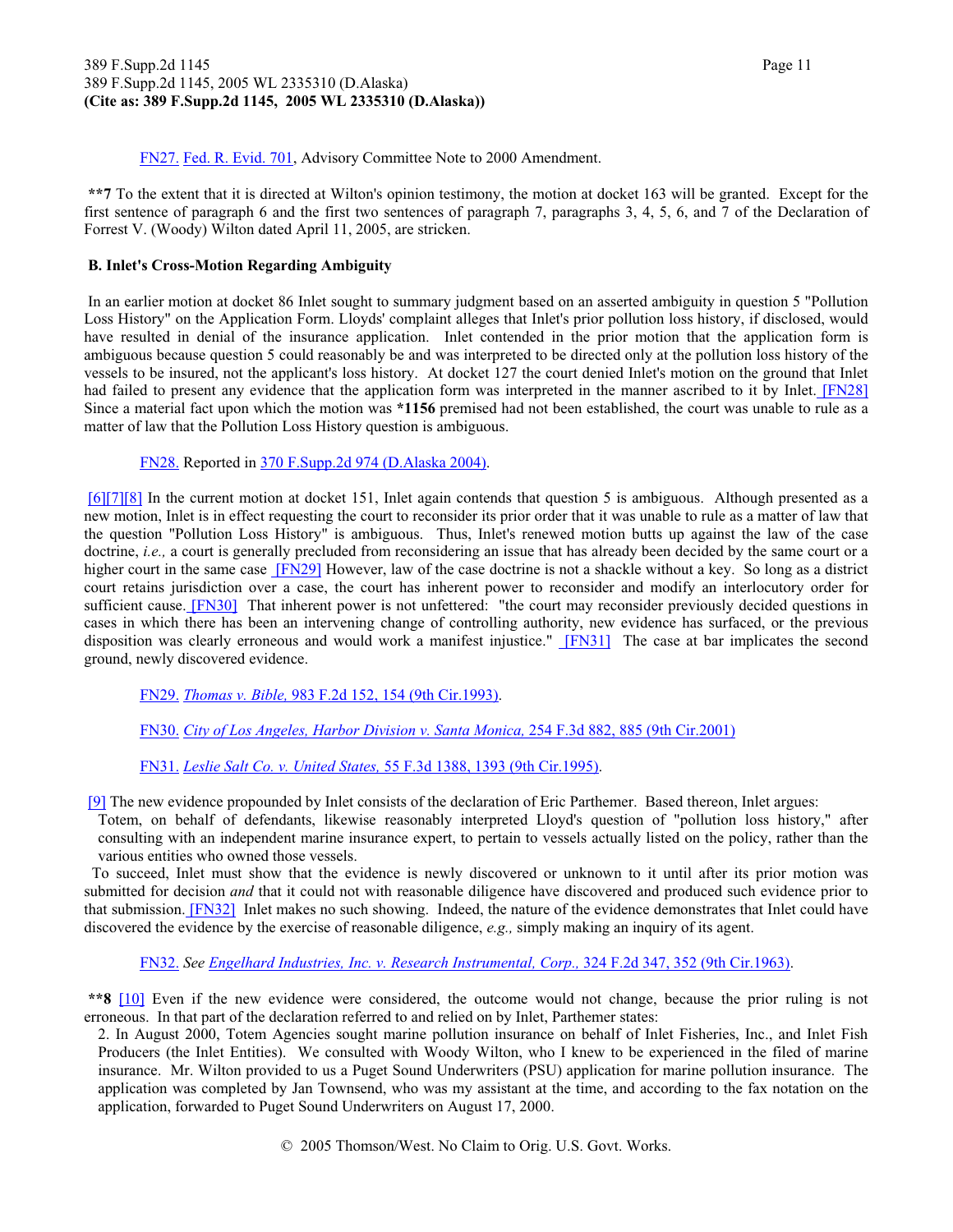#### 389 F.Supp.2d 1145 Page 11 389 F.Supp.2d 1145, 2005 WL 2335310 (D.Alaska) **(Cite as: 389 F.Supp.2d 1145, 2005 WL 2335310 (D.Alaska))**

FN27. Fed. R. Evid. 701, Advisory Committee Note to 2000 Amendment.

**\*\*7** To the extent that it is directed at Wilton's opinion testimony, the motion at docket 163 will be granted. Except for the first sentence of paragraph 6 and the first two sentences of paragraph 7, paragraphs 3, 4, 5, 6, and 7 of the Declaration of Forrest V. (Woody) Wilton dated April 11, 2005, are stricken.

#### **B. Inlet's Cross-Motion Regarding Ambiguity**

 In an earlier motion at docket 86 Inlet sought to summary judgment based on an asserted ambiguity in question 5 "Pollution Loss History" on the Application Form. Lloyds' complaint alleges that Inlet's prior pollution loss history, if disclosed, would have resulted in denial of the insurance application. Inlet contended in the prior motion that the application form is ambiguous because question 5 could reasonably be and was interpreted to be directed only at the pollution loss history of the vessels to be insured, not the applicant's loss history. At docket 127 the court denied Inlet's motion on the ground that Inlet had failed to present any evidence that the application form was interpreted in the manner ascribed to it by Inlet. [FN28] Since a material fact upon which the motion was **\*1156** premised had not been established, the court was unable to rule as a matter of law that the Pollution Loss History question is ambiguous.

FN28. Reported in 370 F.Supp.2d 974 (D.Alaska 2004).

[6][7][8] In the current motion at docket 151, Inlet again contends that question 5 is ambiguous. Although presented as a new motion, Inlet is in effect requesting the court to reconsider its prior order that it was unable to rule as a matter of law that the question "Pollution Loss History" is ambiguous. Thus, Inlet's renewed motion butts up against the law of the case doctrine, *i.e.*, a court is generally precluded from reconsidering an issue that has already been decided by the same court or a higher court in the same case [FN29] However, law of the case doctrine is not a shackle without a key. So long as a district court retains jurisdiction over a case, the court has inherent power to reconsider and modify an interlocutory order for sufficient cause. [FN30] That inherent power is not unfettered: "the court may reconsider previously decided questions in cases in which there has been an intervening change of controlling authority, new evidence has surfaced, or the previous disposition was clearly erroneous and would work a manifest injustice." [FN31] The case at bar implicates the second ground, newly discovered evidence.

FN29. *Thomas v. Bible,* 983 F.2d 152, 154 (9th Cir.1993).

FN30. *City of Los Angeles, Harbor Division v. Santa Monica,* 254 F.3d 882, 885 (9th Cir.2001)

FN31. *Leslie Salt Co. v. United States,* 55 F.3d 1388, 1393 (9th Cir.1995).

[9] The new evidence propounded by Inlet consists of the declaration of Eric Parthemer. Based thereon, Inlet argues:

Totem, on behalf of defendants, likewise reasonably interpreted Lloyd's question of "pollution loss history," after consulting with an independent marine insurance expert, to pertain to vessels actually listed on the policy, rather than the various entities who owned those vessels.

 To succeed, Inlet must show that the evidence is newly discovered or unknown to it until after its prior motion was submitted for decision *and* that it could not with reasonable diligence have discovered and produced such evidence prior to that submission. [FN32] Inlet makes no such showing. Indeed, the nature of the evidence demonstrates that Inlet could have discovered the evidence by the exercise of reasonable diligence, *e.g.,* simply making an inquiry of its agent.

FN32. *See Engelhard Industries, Inc. v. Research Instrumental, Corp.,* 324 F.2d 347, 352 (9th Cir.1963).

**\*\*8** [10] Even if the new evidence were considered, the outcome would not change, because the prior ruling is not erroneous. In that part of the declaration referred to and relied on by Inlet, Parthemer states:

2. In August 2000, Totem Agencies sought marine pollution insurance on behalf of Inlet Fisheries, Inc., and Inlet Fish Producers (the Inlet Entities). We consulted with Woody Wilton, who I knew to be experienced in the filed of marine insurance. Mr. Wilton provided to us a Puget Sound Underwriters (PSU) application for marine pollution insurance. The application was completed by Jan Townsend, who was my assistant at the time, and according to the fax notation on the application, forwarded to Puget Sound Underwriters on August 17, 2000.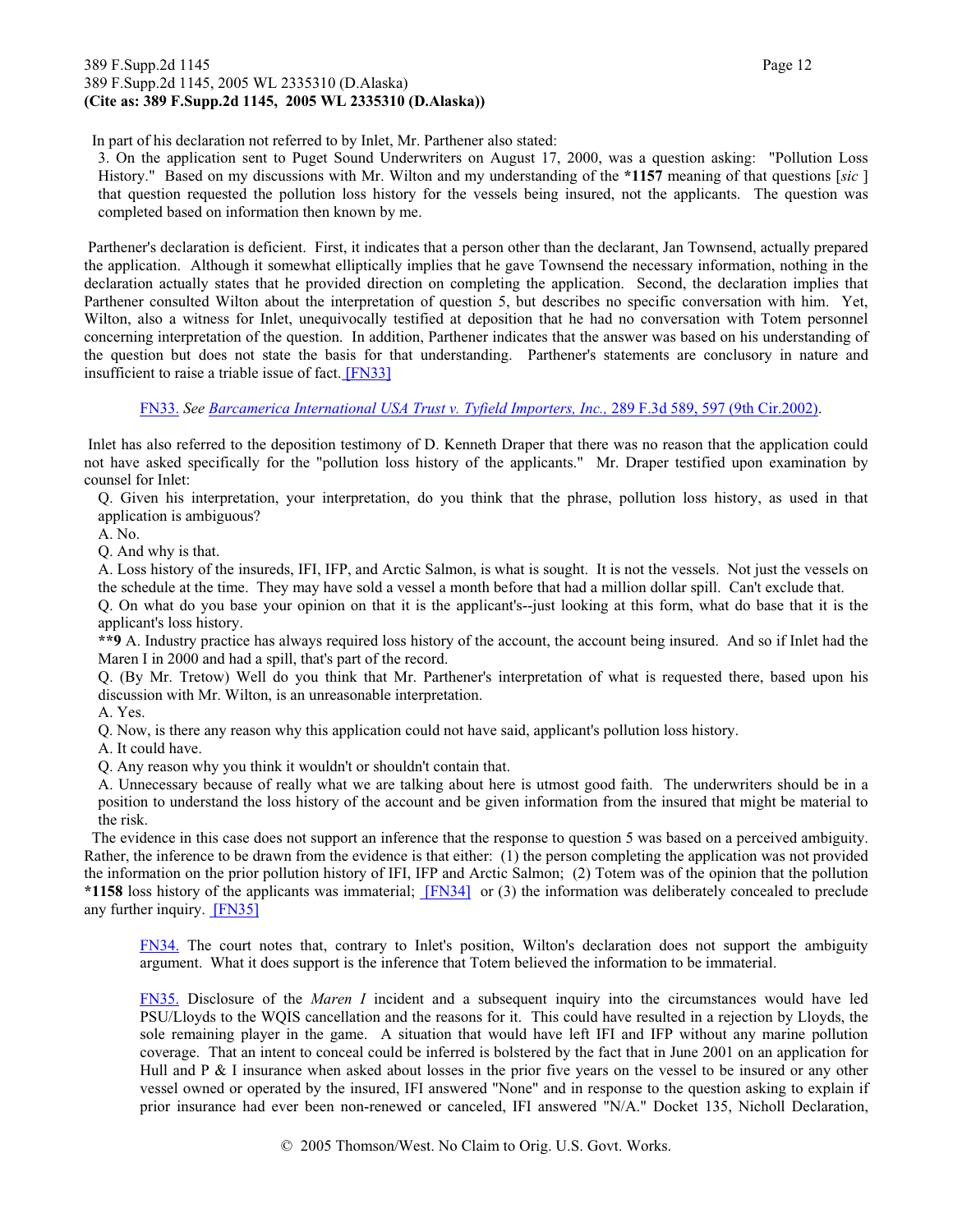#### 389 F.Supp.2d 1145 Page 12 389 F.Supp.2d 1145, 2005 WL 2335310 (D.Alaska) **(Cite as: 389 F.Supp.2d 1145, 2005 WL 2335310 (D.Alaska))**

In part of his declaration not referred to by Inlet, Mr. Parthener also stated:

3. On the application sent to Puget Sound Underwriters on August 17, 2000, was a question asking: "Pollution Loss History." Based on my discussions with Mr. Wilton and my understanding of the **\*1157** meaning of that questions [*sic* ] that question requested the pollution loss history for the vessels being insured, not the applicants. The question was completed based on information then known by me.

 Parthener's declaration is deficient. First, it indicates that a person other than the declarant, Jan Townsend, actually prepared the application. Although it somewhat elliptically implies that he gave Townsend the necessary information, nothing in the declaration actually states that he provided direction on completing the application. Second, the declaration implies that Parthener consulted Wilton about the interpretation of question 5, but describes no specific conversation with him. Yet, Wilton, also a witness for Inlet, unequivocally testified at deposition that he had no conversation with Totem personnel concerning interpretation of the question. In addition, Parthener indicates that the answer was based on his understanding of the question but does not state the basis for that understanding. Parthener's statements are conclusory in nature and insufficient to raise a triable issue of fact. [FN33]

FN33. *See Barcamerica International USA Trust v. Tyfield Importers, Inc.,* 289 F.3d 589, 597 (9th Cir.2002).

 Inlet has also referred to the deposition testimony of D. Kenneth Draper that there was no reason that the application could not have asked specifically for the "pollution loss history of the applicants." Mr. Draper testified upon examination by counsel for Inlet:

Q. Given his interpretation, your interpretation, do you think that the phrase, pollution loss history, as used in that application is ambiguous?

A. No.

Q. And why is that.

A. Loss history of the insureds, IFI, IFP, and Arctic Salmon, is what is sought. It is not the vessels. Not just the vessels on the schedule at the time. They may have sold a vessel a month before that had a million dollar spill. Can't exclude that.

Q. On what do you base your opinion on that it is the applicant's--just looking at this form, what do base that it is the applicant's loss history.

**\*\*9** A. Industry practice has always required loss history of the account, the account being insured. And so if Inlet had the Maren I in 2000 and had a spill, that's part of the record.

Q. (By Mr. Tretow) Well do you think that Mr. Parthener's interpretation of what is requested there, based upon his discussion with Mr. Wilton, is an unreasonable interpretation.

A. Yes.

Q. Now, is there any reason why this application could not have said, applicant's pollution loss history.

A. It could have.

Q. Any reason why you think it wouldn't or shouldn't contain that.

A. Unnecessary because of really what we are talking about here is utmost good faith. The underwriters should be in a position to understand the loss history of the account and be given information from the insured that might be material to the risk.

 The evidence in this case does not support an inference that the response to question 5 was based on a perceived ambiguity. Rather, the inference to be drawn from the evidence is that either: (1) the person completing the application was not provided the information on the prior pollution history of IFI, IFP and Arctic Salmon; (2) Totem was of the opinion that the pollution **\*1158** loss history of the applicants was immaterial; [FN34] or (3) the information was deliberately concealed to preclude any further inquiry. [FN35]

FN34. The court notes that, contrary to Inlet's position, Wilton's declaration does not support the ambiguity argument. What it does support is the inference that Totem believed the information to be immaterial.

FN35. Disclosure of the *Maren I* incident and a subsequent inquiry into the circumstances would have led PSU/Lloyds to the WQIS cancellation and the reasons for it. This could have resulted in a rejection by Lloyds, the sole remaining player in the game. A situation that would have left IFI and IFP without any marine pollution coverage. That an intent to conceal could be inferred is bolstered by the fact that in June 2001 on an application for Hull and P & I insurance when asked about losses in the prior five years on the vessel to be insured or any other vessel owned or operated by the insured, IFI answered "None" and in response to the question asking to explain if prior insurance had ever been non-renewed or canceled, IFI answered "N/A." Docket 135, Nicholl Declaration,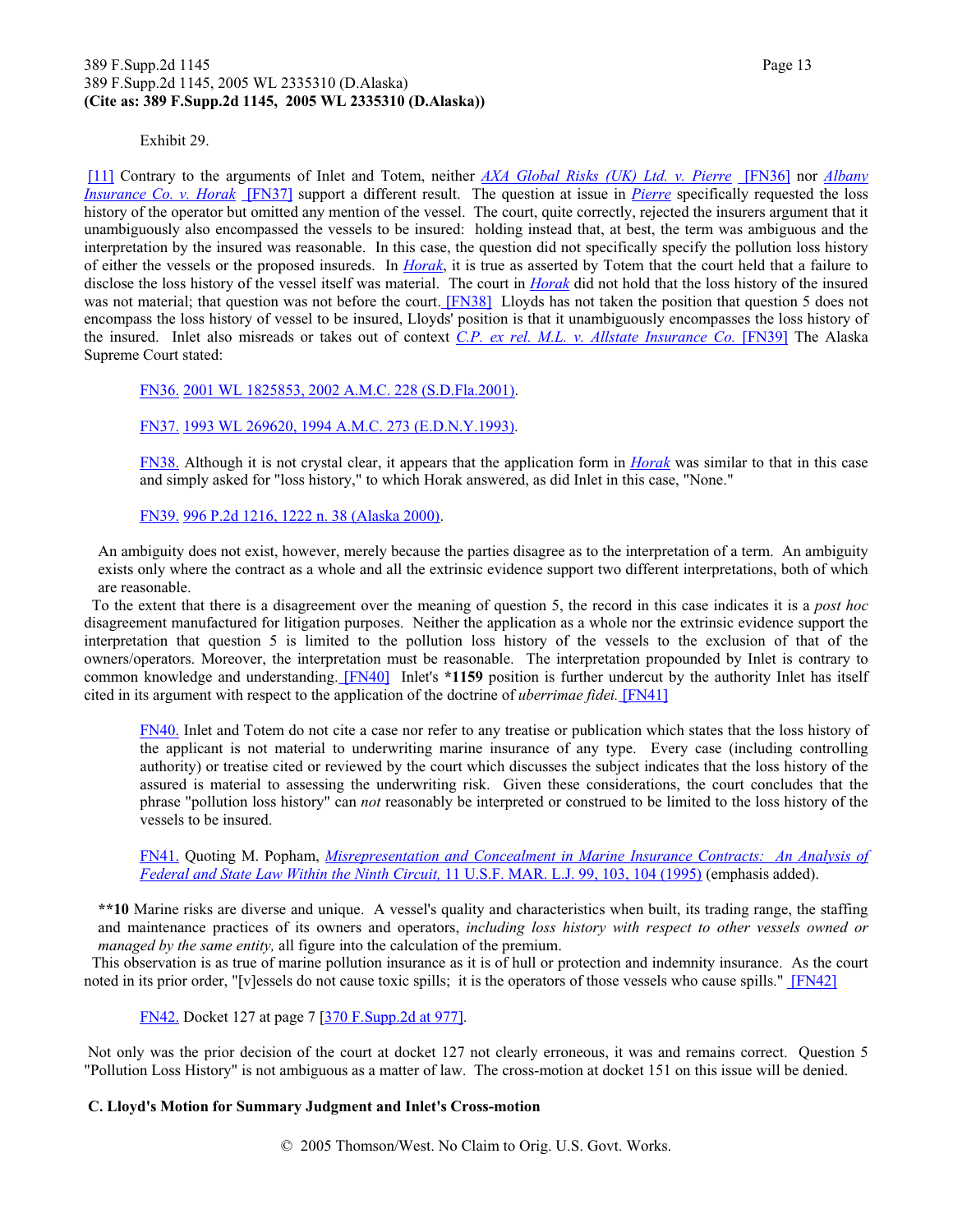#### 389 F.Supp.2d 1145 Page 13 389 F.Supp.2d 1145, 2005 WL 2335310 (D.Alaska) **(Cite as: 389 F.Supp.2d 1145, 2005 WL 2335310 (D.Alaska))**

Exhibit 29.

[11] Contrary to the arguments of Inlet and Totem, neither *AXA Global Risks (UK) Ltd. v. Pierre* [FN36] nor *Albany Insurance Co. v. Horak* [FN37] support a different result. The question at issue in *Pierre* specifically requested the loss history of the operator but omitted any mention of the vessel. The court, quite correctly, rejected the insurers argument that it unambiguously also encompassed the vessels to be insured: holding instead that, at best, the term was ambiguous and the interpretation by the insured was reasonable. In this case, the question did not specifically specify the pollution loss history of either the vessels or the proposed insureds. In *Horak*, it is true as asserted by Totem that the court held that a failure to disclose the loss history of the vessel itself was material. The court in *Horak* did not hold that the loss history of the insured was not material; that question was not before the court. [FN38] Lloyds has not taken the position that question 5 does not encompass the loss history of vessel to be insured, Lloyds' position is that it unambiguously encompasses the loss history of the insured. Inlet also misreads or takes out of context *C.P. ex rel. M.L. v. Allstate Insurance Co.* [FN39] The Alaska Supreme Court stated:

FN36. 2001 WL 1825853, 2002 A.M.C. 228 (S.D.Fla.2001).

FN37. 1993 WL 269620, 1994 A.M.C. 273 (E.D.N.Y.1993).

FN38. Although it is not crystal clear, it appears that the application form in *Horak* was similar to that in this case and simply asked for "loss history," to which Horak answered, as did Inlet in this case, "None."

FN39. 996 P.2d 1216, 1222 n. 38 (Alaska 2000).

An ambiguity does not exist, however, merely because the parties disagree as to the interpretation of a term. An ambiguity exists only where the contract as a whole and all the extrinsic evidence support two different interpretations, both of which are reasonable.

 To the extent that there is a disagreement over the meaning of question 5, the record in this case indicates it is a *post hoc* disagreement manufactured for litigation purposes. Neither the application as a whole nor the extrinsic evidence support the interpretation that question 5 is limited to the pollution loss history of the vessels to the exclusion of that of the owners/operators. Moreover, the interpretation must be reasonable. The interpretation propounded by Inlet is contrary to common knowledge and understanding. [FN40] Inlet's **\*1159** position is further undercut by the authority Inlet has itself cited in its argument with respect to the application of the doctrine of *uberrimae fidei.* [FN41]

FN40. Inlet and Totem do not cite a case nor refer to any treatise or publication which states that the loss history of the applicant is not material to underwriting marine insurance of any type. Every case (including controlling authority) or treatise cited or reviewed by the court which discusses the subject indicates that the loss history of the assured is material to assessing the underwriting risk. Given these considerations, the court concludes that the phrase "pollution loss history" can *not* reasonably be interpreted or construed to be limited to the loss history of the vessels to be insured.

FN41. Quoting M. Popham, *Misrepresentation and Concealment in Marine Insurance Contracts: An Analysis of Federal and State Law Within the Ninth Circuit,* 11 U.S.F. MAR. L.J. 99, 103, 104 (1995) (emphasis added).

**\*\*10** Marine risks are diverse and unique. A vessel's quality and characteristics when built, its trading range, the staffing and maintenance practices of its owners and operators, *including loss history with respect to other vessels owned or managed by the same entity,* all figure into the calculation of the premium.

 This observation is as true of marine pollution insurance as it is of hull or protection and indemnity insurance. As the court noted in its prior order, "[v]essels do not cause toxic spills; it is the operators of those vessels who cause spills." [FN42]

FN42. Docket 127 at page 7 [370 F.Supp.2d at 977].

 Not only was the prior decision of the court at docket 127 not clearly erroneous, it was and remains correct. Question 5 "Pollution Loss History" is not ambiguous as a matter of law. The cross-motion at docket 151 on this issue will be denied.

#### **C. Lloyd's Motion for Summary Judgment and Inlet's Cross-motion**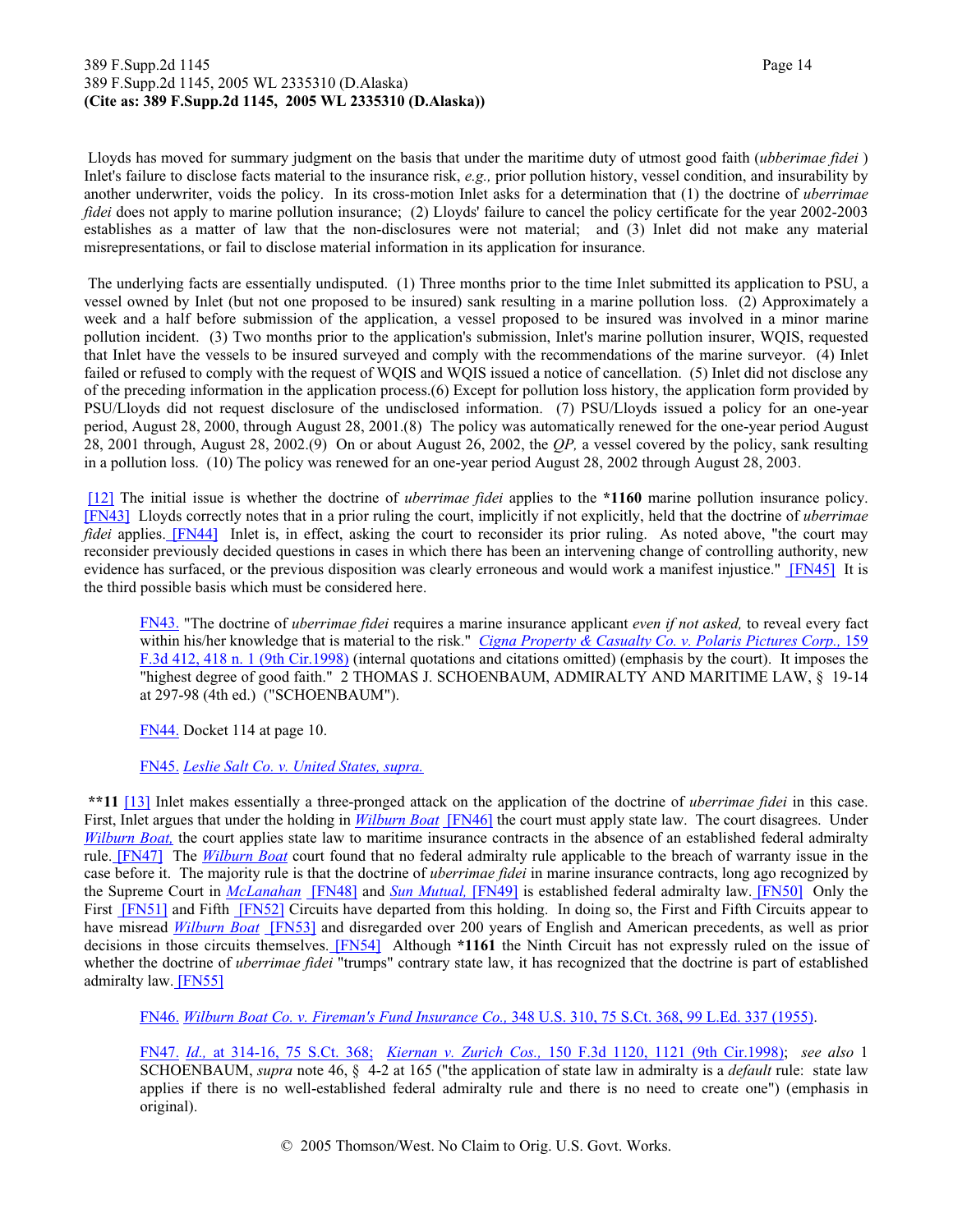#### 389 F.Supp.2d 1145 Page 14 389 F.Supp.2d 1145, 2005 WL 2335310 (D.Alaska) **(Cite as: 389 F.Supp.2d 1145, 2005 WL 2335310 (D.Alaska))**

 Lloyds has moved for summary judgment on the basis that under the maritime duty of utmost good faith (*ubberimae fidei* ) Inlet's failure to disclose facts material to the insurance risk, *e.g.,* prior pollution history, vessel condition, and insurability by another underwriter, voids the policy. In its cross-motion Inlet asks for a determination that (1) the doctrine of *uberrimae fidei* does not apply to marine pollution insurance; (2) Lloyds' failure to cancel the policy certificate for the year 2002-2003 establishes as a matter of law that the non-disclosures were not material; and (3) Inlet did not make any material misrepresentations, or fail to disclose material information in its application for insurance.

 The underlying facts are essentially undisputed. (1) Three months prior to the time Inlet submitted its application to PSU, a vessel owned by Inlet (but not one proposed to be insured) sank resulting in a marine pollution loss. (2) Approximately a week and a half before submission of the application, a vessel proposed to be insured was involved in a minor marine pollution incident. (3) Two months prior to the application's submission, Inlet's marine pollution insurer, WQIS, requested that Inlet have the vessels to be insured surveyed and comply with the recommendations of the marine surveyor. (4) Inlet failed or refused to comply with the request of WQIS and WQIS issued a notice of cancellation. (5) Inlet did not disclose any of the preceding information in the application process.(6) Except for pollution loss history, the application form provided by PSU/Lloyds did not request disclosure of the undisclosed information. (7) PSU/Lloyds issued a policy for an one-year period, August 28, 2000, through August 28, 2001.(8) The policy was automatically renewed for the one-year period August 28, 2001 through, August 28, 2002.(9) On or about August 26, 2002, the *QP,* a vessel covered by the policy, sank resulting in a pollution loss. (10) The policy was renewed for an one-year period August 28, 2002 through August 28, 2003.

[12] The initial issue is whether the doctrine of *uberrimae fidei* applies to the **\*1160** marine pollution insurance policy. [FN43] Lloyds correctly notes that in a prior ruling the court, implicitly if not explicitly, held that the doctrine of *uberrimae fidei* applies. [FN44] Inlet is, in effect, asking the court to reconsider its prior ruling. As noted above, "the court may reconsider previously decided questions in cases in which there has been an intervening change of controlling authority, new evidence has surfaced, or the previous disposition was clearly erroneous and would work a manifest injustice." [FN45] It is the third possible basis which must be considered here.

FN43. "The doctrine of *uberrimae fidei* requires a marine insurance applicant *even if not asked,* to reveal every fact within his/her knowledge that is material to the risk." *Cigna Property & Casualty Co. v. Polaris Pictures Corp.,* 159 F.3d 412, 418 n. 1 (9th Cir.1998) (internal quotations and citations omitted) (emphasis by the court). It imposes the "highest degree of good faith." 2 THOMAS J. SCHOENBAUM, ADMIRALTY AND MARITIME LAW, § 19-14 at 297-98 (4th ed.) ("SCHOENBAUM").

FN44. Docket 114 at page 10.

FN45. *Leslie Salt Co. v. United States, supra.*

**\*\*11** [13] Inlet makes essentially a three-pronged attack on the application of the doctrine of *uberrimae fidei* in this case. First, Inlet argues that under the holding in *Wilburn Boat* [FN46] the court must apply state law. The court disagrees. Under *Wilburn Boat,* the court applies state law to maritime insurance contracts in the absence of an established federal admiralty rule. [FN47] The *Wilburn Boat* court found that no federal admiralty rule applicable to the breach of warranty issue in the case before it. The majority rule is that the doctrine of *uberrimae fidei* in marine insurance contracts, long ago recognized by the Supreme Court in *McLanahan* [FN48] and *Sun Mutual,* [FN49] is established federal admiralty law. [FN50] Only the First **IFN51** and Fifth **IFN52** Circuits have departed from this holding. In doing so, the First and Fifth Circuits appear to have misread *Wilburn Boat* [FN53] and disregarded over 200 years of English and American precedents, as well as prior decisions in those circuits themselves. [FN54] Although **\*1161** the Ninth Circuit has not expressly ruled on the issue of whether the doctrine of *uberrimae fidei* "trumps" contrary state law, it has recognized that the doctrine is part of established admiralty law. [FN55]

FN46. *Wilburn Boat Co. v. Fireman's Fund Insurance Co.,* 348 U.S. 310, 75 S.Ct. 368, 99 L.Ed. 337 (1955).

FN47. *Id.,* at 314-16, 75 S.Ct. 368; *Kiernan v. Zurich Cos.,* 150 F.3d 1120, 1121 (9th Cir.1998); *see also* 1 SCHOENBAUM, *supra* note 46, § 4-2 at 165 ("the application of state law in admiralty is a *default* rule: state law applies if there is no well-established federal admiralty rule and there is no need to create one") (emphasis in original).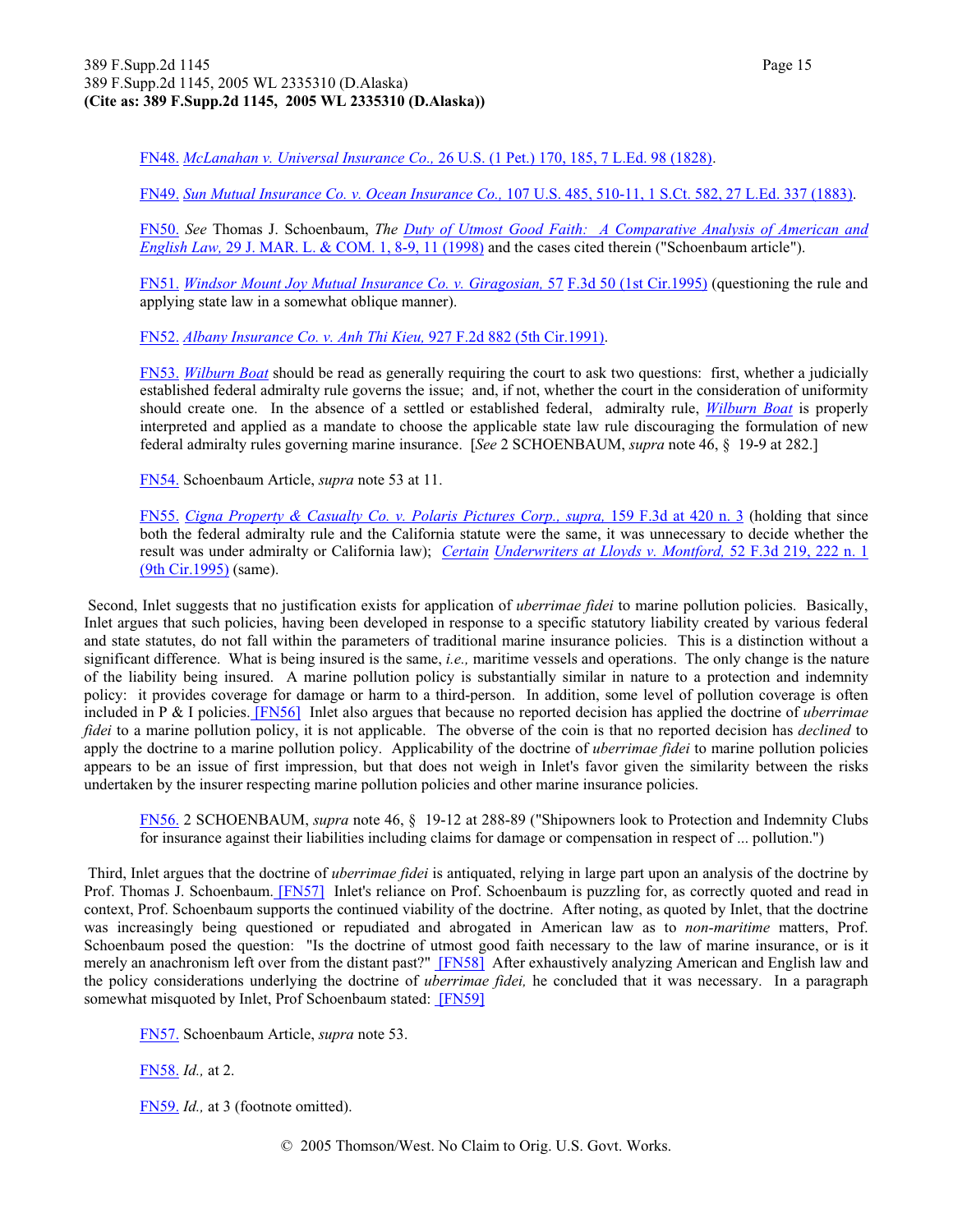FN48. *McLanahan v. Universal Insurance Co.,* 26 U.S. (1 Pet.) 170, 185, 7 L.Ed. 98 (1828).

FN49. *Sun Mutual Insurance Co. v. Ocean Insurance Co.,* 107 U.S. 485, 510-11, 1 S.Ct. 582, 27 L.Ed. 337 (1883).

FN50. *See* Thomas J. Schoenbaum, *The Duty of Utmost Good Faith: A Comparative Analysis of American and English Law,* 29 J. MAR. L. & COM. 1, 8-9, 11 (1998) and the cases cited therein ("Schoenbaum article").

FN51. *Windsor Mount Joy Mutual Insurance Co. v. Giragosian,* 57 F.3d 50 (1st Cir.1995) (questioning the rule and applying state law in a somewhat oblique manner).

FN52. *Albany Insurance Co. v. Anh Thi Kieu,* 927 F.2d 882 (5th Cir.1991).

FN53. *Wilburn Boat* should be read as generally requiring the court to ask two questions: first, whether a judicially established federal admiralty rule governs the issue; and, if not, whether the court in the consideration of uniformity should create one. In the absence of a settled or established federal, admiralty rule, *Wilburn Boat* is properly interpreted and applied as a mandate to choose the applicable state law rule discouraging the formulation of new federal admiralty rules governing marine insurance. [*See* 2 SCHOENBAUM, *supra* note 46, § 19-9 at 282.]

FN54. Schoenbaum Article, *supra* note 53 at 11.

FN55. *Cigna Property & Casualty Co. v. Polaris Pictures Corp., supra,* 159 F.3d at 420 n. 3 (holding that since both the federal admiralty rule and the California statute were the same, it was unnecessary to decide whether the result was under admiralty or California law); *Certain Underwriters at Lloyds v. Montford,* 52 F.3d 219, 222 n. 1 (9th Cir.1995) (same).

 Second, Inlet suggests that no justification exists for application of *uberrimae fidei* to marine pollution policies. Basically, Inlet argues that such policies, having been developed in response to a specific statutory liability created by various federal and state statutes, do not fall within the parameters of traditional marine insurance policies. This is a distinction without a significant difference. What is being insured is the same, *i.e.,* maritime vessels and operations. The only change is the nature of the liability being insured. A marine pollution policy is substantially similar in nature to a protection and indemnity policy: it provides coverage for damage or harm to a third-person. In addition, some level of pollution coverage is often included in P & I policies. [FN56] Inlet also argues that because no reported decision has applied the doctrine of *uberrimae fidei* to a marine pollution policy, it is not applicable. The obverse of the coin is that no reported decision has *declined* to apply the doctrine to a marine pollution policy. Applicability of the doctrine of *uberrimae fidei* to marine pollution policies appears to be an issue of first impression, but that does not weigh in Inlet's favor given the similarity between the risks undertaken by the insurer respecting marine pollution policies and other marine insurance policies.

FN56. 2 SCHOENBAUM, *supra* note 46, § 19-12 at 288-89 ("Shipowners look to Protection and Indemnity Clubs for insurance against their liabilities including claims for damage or compensation in respect of ... pollution.")

 Third, Inlet argues that the doctrine of *uberrimae fidei* is antiquated, relying in large part upon an analysis of the doctrine by Prof. Thomas J. Schoenbaum. [FN57] Inlet's reliance on Prof. Schoenbaum is puzzling for, as correctly quoted and read in context, Prof. Schoenbaum supports the continued viability of the doctrine. After noting, as quoted by Inlet, that the doctrine was increasingly being questioned or repudiated and abrogated in American law as to *non-maritime* matters, Prof. Schoenbaum posed the question: "Is the doctrine of utmost good faith necessary to the law of marine insurance, or is it merely an anachronism left over from the distant past?" [FN58] After exhaustively analyzing American and English law and the policy considerations underlying the doctrine of *uberrimae fidei,* he concluded that it was necessary. In a paragraph somewhat misquoted by Inlet, Prof Schoenbaum stated: [FN59]

FN57. Schoenbaum Article, *supra* note 53.

FN58. *Id.,* at 2.

FN59. *Id.,* at 3 (footnote omitted).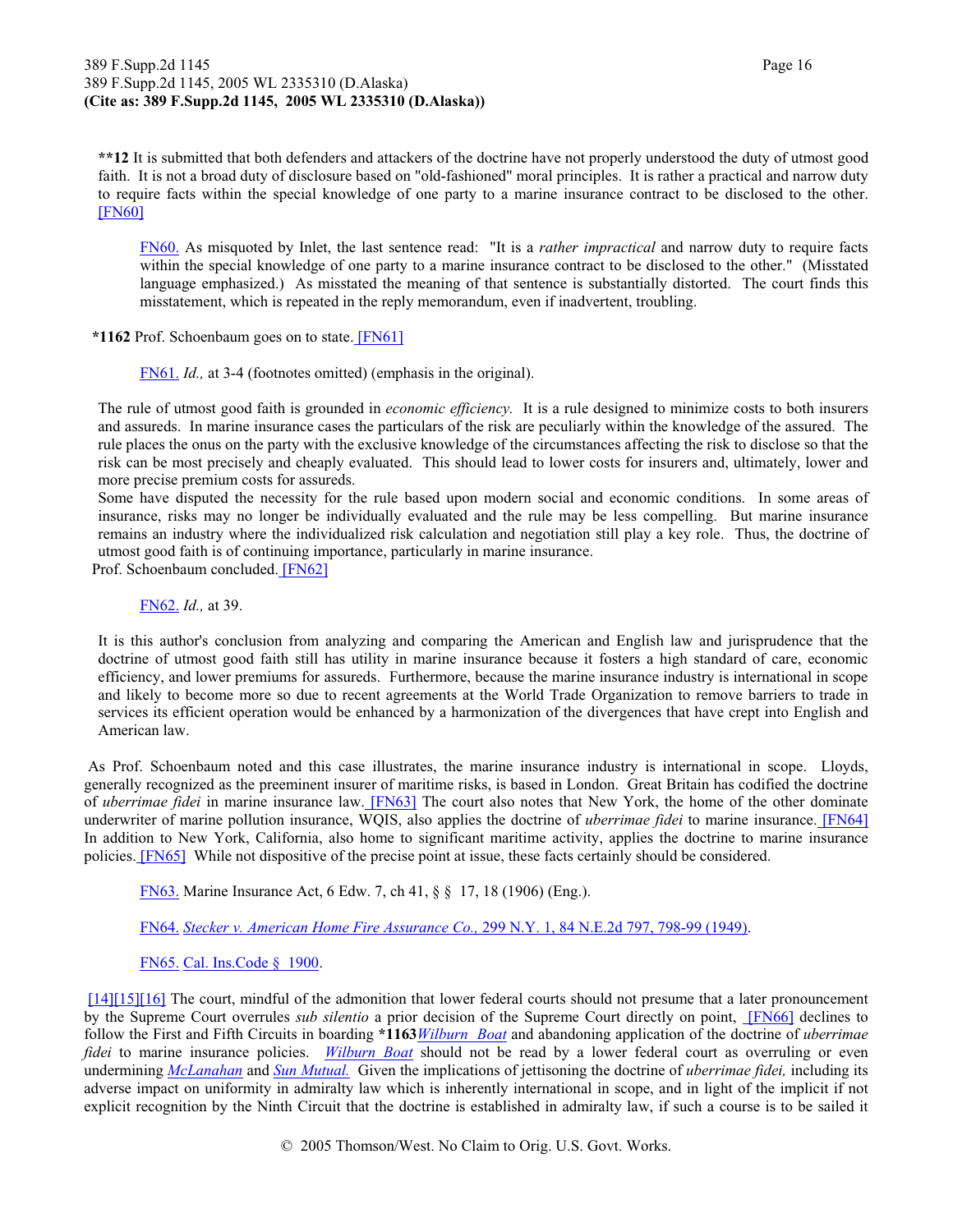**\*\*12** It is submitted that both defenders and attackers of the doctrine have not properly understood the duty of utmost good faith. It is not a broad duty of disclosure based on "old-fashioned" moral principles. It is rather a practical and narrow duty to require facts within the special knowledge of one party to a marine insurance contract to be disclosed to the other. [FN60]

FN60. As misquoted by Inlet, the last sentence read: "It is a *rather impractical* and narrow duty to require facts within the special knowledge of one party to a marine insurance contract to be disclosed to the other." (Misstated language emphasized.) As misstated the meaning of that sentence is substantially distorted. The court finds this misstatement, which is repeated in the reply memorandum, even if inadvertent, troubling.

**\*1162** Prof. Schoenbaum goes on to state. [FN61]

FN61. *Id.,* at 3-4 (footnotes omitted) (emphasis in the original).

The rule of utmost good faith is grounded in *economic efficiency.* It is a rule designed to minimize costs to both insurers and assureds. In marine insurance cases the particulars of the risk are peculiarly within the knowledge of the assured. The rule places the onus on the party with the exclusive knowledge of the circumstances affecting the risk to disclose so that the risk can be most precisely and cheaply evaluated. This should lead to lower costs for insurers and, ultimately, lower and more precise premium costs for assureds.

Some have disputed the necessity for the rule based upon modern social and economic conditions. In some areas of insurance, risks may no longer be individually evaluated and the rule may be less compelling. But marine insurance remains an industry where the individualized risk calculation and negotiation still play a key role. Thus, the doctrine of utmost good faith is of continuing importance, particularly in marine insurance.

Prof. Schoenbaum concluded. [FN62]

FN62. *Id.,* at 39.

It is this author's conclusion from analyzing and comparing the American and English law and jurisprudence that the doctrine of utmost good faith still has utility in marine insurance because it fosters a high standard of care, economic efficiency, and lower premiums for assureds. Furthermore, because the marine insurance industry is international in scope and likely to become more so due to recent agreements at the World Trade Organization to remove barriers to trade in services its efficient operation would be enhanced by a harmonization of the divergences that have crept into English and American law.

 As Prof. Schoenbaum noted and this case illustrates, the marine insurance industry is international in scope. Lloyds, generally recognized as the preeminent insurer of maritime risks, is based in London. Great Britain has codified the doctrine of *uberrimae fidei* in marine insurance law. [FN63] The court also notes that New York, the home of the other dominate underwriter of marine pollution insurance, WQIS, also applies the doctrine of *uberrimae fidei* to marine insurance. [FN64] In addition to New York, California, also home to significant maritime activity, applies the doctrine to marine insurance policies. **[FN65]** While not dispositive of the precise point at issue, these facts certainly should be considered.

FN63. Marine Insurance Act, 6 Edw. 7, ch 41, § § 17, 18 (1906) (Eng.).

FN64. *Stecker v. American Home Fire Assurance Co.,* 299 N.Y. 1, 84 N.E.2d 797, 798-99 (1949).

FN65. Cal. Ins.Code § 1900.

[14][15][16] The court, mindful of the admonition that lower federal courts should not presume that a later pronouncement by the Supreme Court overrules *sub silentio* a prior decision of the Supreme Court directly on point, [FN66] declines to follow the First and Fifth Circuits in boarding **\*1163***Wilburn Boat* and abandoning application of the doctrine of *uberrimae fidei* to marine insurance policies. *Wilburn Boat* should not be read by a lower federal court as overruling or even undermining *McLanahan* and *Sun Mutual.* Given the implications of jettisoning the doctrine of *uberrimae fidei,* including its adverse impact on uniformity in admiralty law which is inherently international in scope, and in light of the implicit if not explicit recognition by the Ninth Circuit that the doctrine is established in admiralty law, if such a course is to be sailed it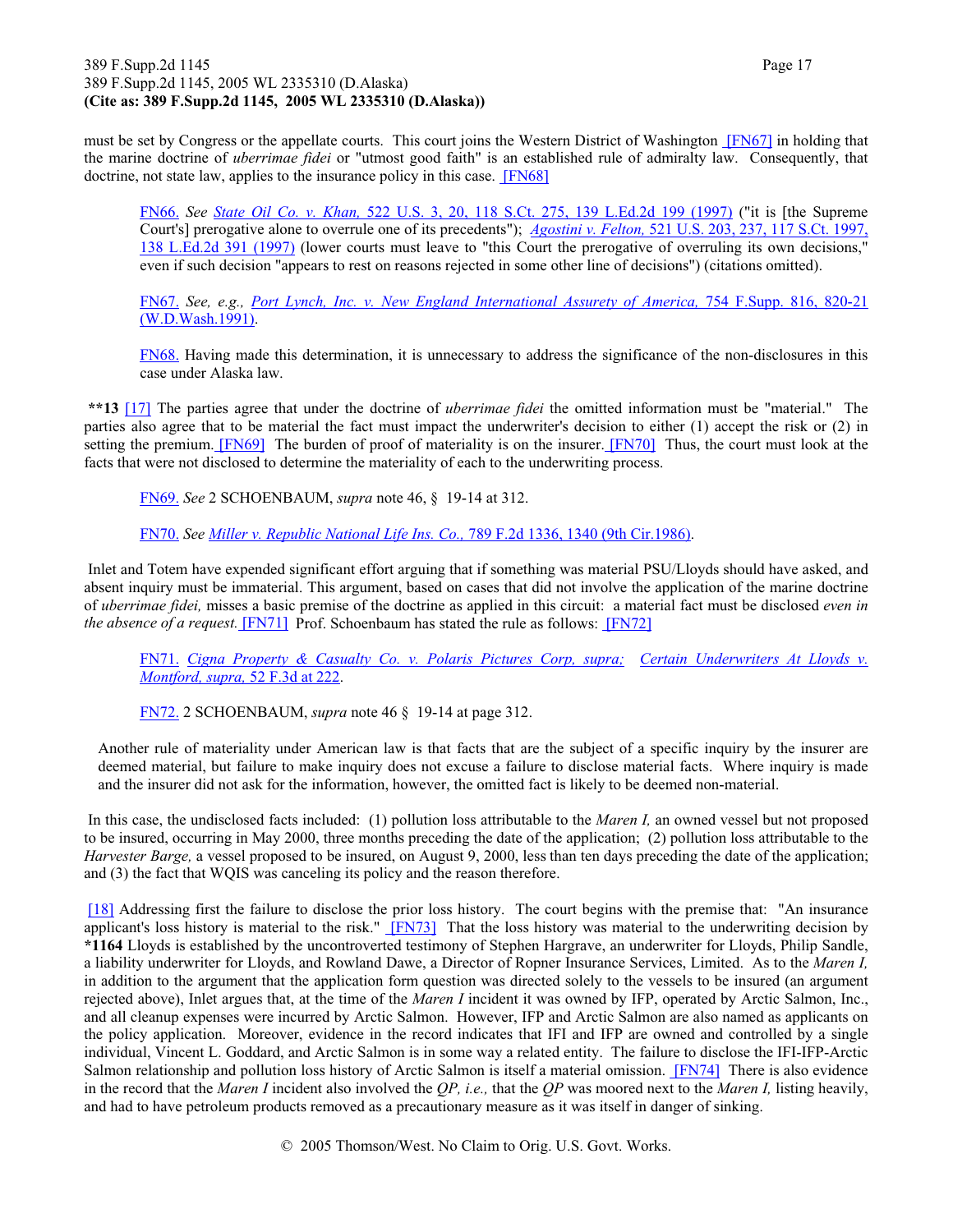#### 389 F.Supp.2d 1145 Page 17 389 F.Supp.2d 1145, 2005 WL 2335310 (D.Alaska) **(Cite as: 389 F.Supp.2d 1145, 2005 WL 2335310 (D.Alaska))**

must be set by Congress or the appellate courts. This court joins the Western District of Washington [FN67] in holding that the marine doctrine of *uberrimae fidei* or "utmost good faith" is an established rule of admiralty law. Consequently, that doctrine, not state law, applies to the insurance policy in this case. [FN68]

FN66. *See State Oil Co. v. Khan,* 522 U.S. 3, 20, 118 S.Ct. 275, 139 L.Ed.2d 199 (1997) ("it is [the Supreme Court's] prerogative alone to overrule one of its precedents"); *Agostini v. Felton,* 521 U.S. 203, 237, 117 S.Ct. 1997, 138 L.Ed.2d 391 (1997) (lower courts must leave to "this Court the prerogative of overruling its own decisions," even if such decision "appears to rest on reasons rejected in some other line of decisions") (citations omitted).

FN67. *See, e.g., Port Lynch, Inc. v. New England International Assurety of America,* 754 F.Supp. 816, 820-21 (W.D.Wash.1991).

FN68. Having made this determination, it is unnecessary to address the significance of the non-disclosures in this case under Alaska law.

**\*\*13** [17] The parties agree that under the doctrine of *uberrimae fidei* the omitted information must be "material." The parties also agree that to be material the fact must impact the underwriter's decision to either (1) accept the risk or (2) in setting the premium. **[FN69]** The burden of proof of materiality is on the insurer. **[FN70]** Thus, the court must look at the facts that were not disclosed to determine the materiality of each to the underwriting process.

FN69. *See* 2 SCHOENBAUM, *supra* note 46, § 19-14 at 312.

FN70. *See Miller v. Republic National Life Ins. Co.,* 789 F.2d 1336, 1340 (9th Cir.1986).

 Inlet and Totem have expended significant effort arguing that if something was material PSU/Lloyds should have asked, and absent inquiry must be immaterial. This argument, based on cases that did not involve the application of the marine doctrine of *uberrimae fidei,* misses a basic premise of the doctrine as applied in this circuit: a material fact must be disclosed *even in the absence of a request.* [FN71] Prof. Schoenbaum has stated the rule as follows: [FN72]

FN71. *Cigna Property & Casualty Co. v. Polaris Pictures Corp, supra; Certain Underwriters At Lloyds v. Montford, supra,* 52 F.3d at 222.

FN72. 2 SCHOENBAUM, *supra* note 46 § 19-14 at page 312.

Another rule of materiality under American law is that facts that are the subject of a specific inquiry by the insurer are deemed material, but failure to make inquiry does not excuse a failure to disclose material facts. Where inquiry is made and the insurer did not ask for the information, however, the omitted fact is likely to be deemed non-material.

 In this case, the undisclosed facts included: (1) pollution loss attributable to the *Maren I,* an owned vessel but not proposed to be insured, occurring in May 2000, three months preceding the date of the application; (2) pollution loss attributable to the *Harvester Barge,* a vessel proposed to be insured, on August 9, 2000, less than ten days preceding the date of the application; and (3) the fact that WQIS was canceling its policy and the reason therefore.

[18] Addressing first the failure to disclose the prior loss history. The court begins with the premise that: "An insurance applicant's loss history is material to the risk." **[FN73]** That the loss history was material to the underwriting decision by **\*1164** Lloyds is established by the uncontroverted testimony of Stephen Hargrave, an underwriter for Lloyds, Philip Sandle, a liability underwriter for Lloyds, and Rowland Dawe, a Director of Ropner Insurance Services, Limited. As to the *Maren I,* in addition to the argument that the application form question was directed solely to the vessels to be insured (an argument rejected above), Inlet argues that, at the time of the *Maren I* incident it was owned by IFP, operated by Arctic Salmon, Inc., and all cleanup expenses were incurred by Arctic Salmon. However, IFP and Arctic Salmon are also named as applicants on the policy application. Moreover, evidence in the record indicates that IFI and IFP are owned and controlled by a single individual, Vincent L. Goddard, and Arctic Salmon is in some way a related entity. The failure to disclose the IFI-IFP-Arctic Salmon relationship and pollution loss history of Arctic Salmon is itself a material omission. [FN74] There is also evidence in the record that the *Maren I* incident also involved the *QP, i.e.,* that the *QP* was moored next to the *Maren I,* listing heavily, and had to have petroleum products removed as a precautionary measure as it was itself in danger of sinking.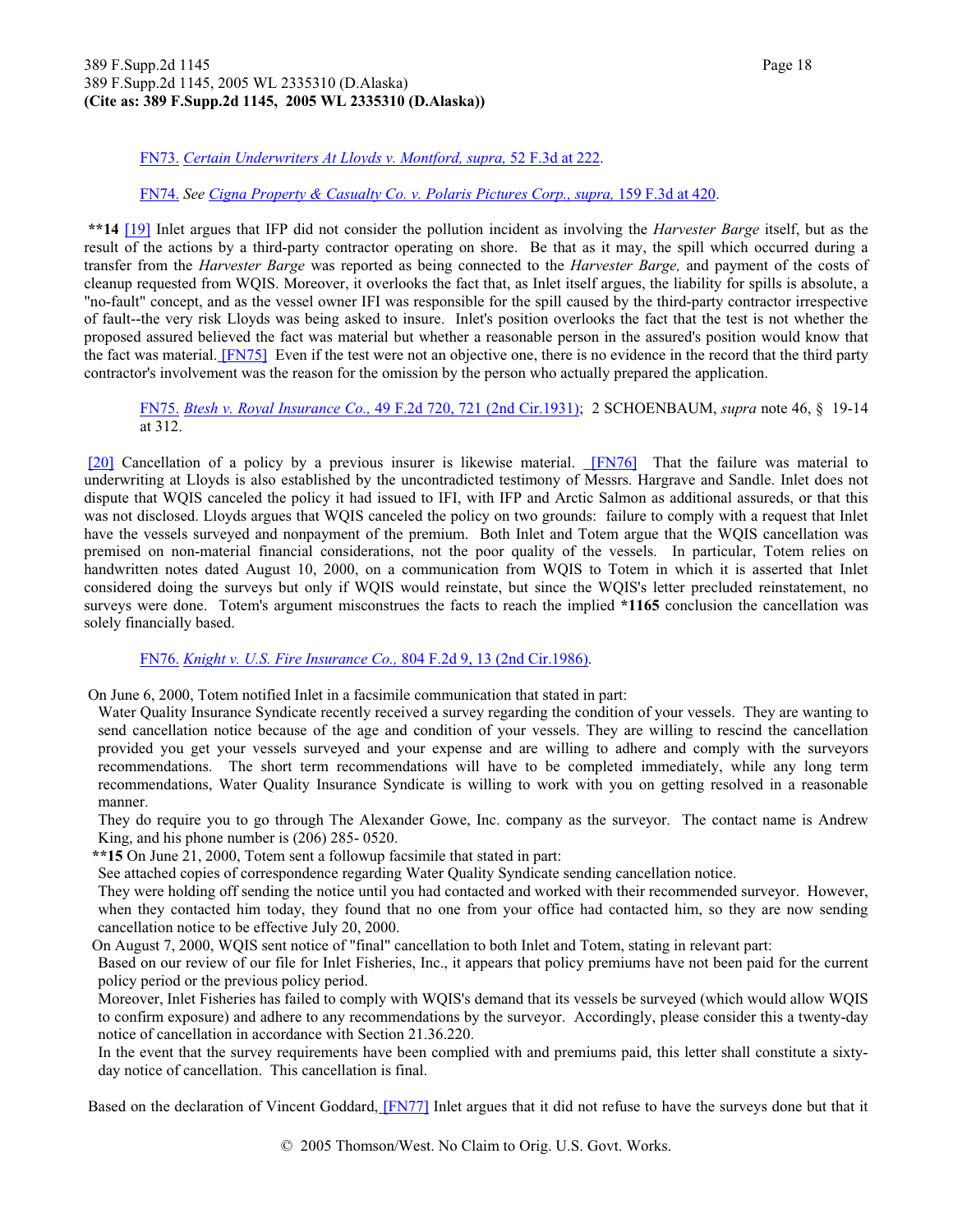#### 389 F.Supp.2d 1145 Page 18 389 F.Supp.2d 1145, 2005 WL 2335310 (D.Alaska) **(Cite as: 389 F.Supp.2d 1145, 2005 WL 2335310 (D.Alaska))**

#### FN73. *Certain Underwriters At Lloyds v. Montford, supra,* 52 F.3d at 222.

#### FN74. *See Cigna Property & Casualty Co. v. Polaris Pictures Corp., supra,* 159 F.3d at 420.

**\*\*14** [19] Inlet argues that IFP did not consider the pollution incident as involving the *Harvester Barge* itself, but as the result of the actions by a third-party contractor operating on shore. Be that as it may, the spill which occurred during a transfer from the *Harvester Barge* was reported as being connected to the *Harvester Barge,* and payment of the costs of cleanup requested from WQIS. Moreover, it overlooks the fact that, as Inlet itself argues, the liability for spills is absolute, a "no-fault" concept, and as the vessel owner IFI was responsible for the spill caused by the third-party contractor irrespective of fault--the very risk Lloyds was being asked to insure. Inlet's position overlooks the fact that the test is not whether the proposed assured believed the fact was material but whether a reasonable person in the assured's position would know that the fact was material. [FN75] Even if the test were not an objective one, there is no evidence in the record that the third party contractor's involvement was the reason for the omission by the person who actually prepared the application.

FN75. *Btesh v. Royal Insurance Co.,* 49 F.2d 720, 721 (2nd Cir.1931); 2 SCHOENBAUM, *supra* note 46, § 19-14 at 312.

[20] Cancellation of a policy by a previous insurer is likewise material. *[FN76]* That the failure was material to underwriting at Lloyds is also established by the uncontradicted testimony of Messrs. Hargrave and Sandle. Inlet does not dispute that WQIS canceled the policy it had issued to IFI, with IFP and Arctic Salmon as additional assureds, or that this was not disclosed. Lloyds argues that WQIS canceled the policy on two grounds: failure to comply with a request that Inlet have the vessels surveyed and nonpayment of the premium. Both Inlet and Totem argue that the WQIS cancellation was premised on non-material financial considerations, not the poor quality of the vessels. In particular, Totem relies on handwritten notes dated August 10, 2000, on a communication from WQIS to Totem in which it is asserted that Inlet considered doing the surveys but only if WQIS would reinstate, but since the WQIS's letter precluded reinstatement, no surveys were done. Totem's argument misconstrues the facts to reach the implied **\*1165** conclusion the cancellation was solely financially based.

#### FN76. *Knight v. U.S. Fire Insurance Co.,* 804 F.2d 9, 13 (2nd Cir.1986).

On June 6, 2000, Totem notified Inlet in a facsimile communication that stated in part:

Water Quality Insurance Syndicate recently received a survey regarding the condition of your vessels. They are wanting to send cancellation notice because of the age and condition of your vessels. They are willing to rescind the cancellation provided you get your vessels surveyed and your expense and are willing to adhere and comply with the surveyors recommendations. The short term recommendations will have to be completed immediately, while any long term recommendations, Water Quality Insurance Syndicate is willing to work with you on getting resolved in a reasonable manner.

They do require you to go through The Alexander Gowe, Inc. company as the surveyor. The contact name is Andrew King, and his phone number is (206) 285- 0520.

**\*\*15** On June 21, 2000, Totem sent a followup facsimile that stated in part:

See attached copies of correspondence regarding Water Quality Syndicate sending cancellation notice.

They were holding off sending the notice until you had contacted and worked with their recommended surveyor. However, when they contacted him today, they found that no one from your office had contacted him, so they are now sending cancellation notice to be effective July 20, 2000.

On August 7, 2000, WQIS sent notice of "final" cancellation to both Inlet and Totem, stating in relevant part:

Based on our review of our file for Inlet Fisheries, Inc., it appears that policy premiums have not been paid for the current policy period or the previous policy period.

Moreover, Inlet Fisheries has failed to comply with WQIS's demand that its vessels be surveyed (which would allow WQIS to confirm exposure) and adhere to any recommendations by the surveyor. Accordingly, please consider this a twenty-day notice of cancellation in accordance with Section 21.36.220.

In the event that the survey requirements have been complied with and premiums paid, this letter shall constitute a sixtyday notice of cancellation. This cancellation is final.

Based on the declaration of Vincent Goddard, [FN77] Inlet argues that it did not refuse to have the surveys done but that it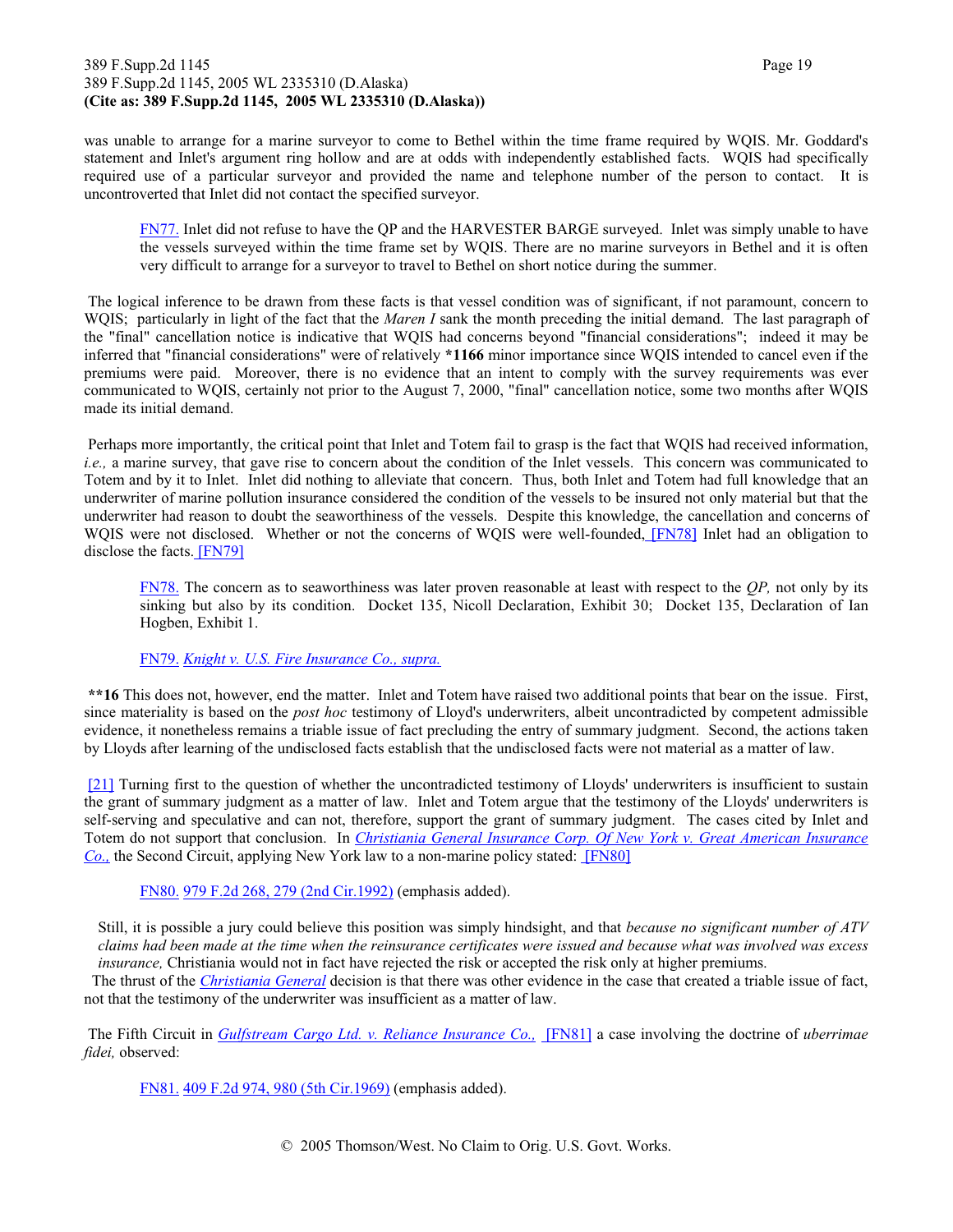#### 389 F.Supp.2d 1145 Page 19 389 F.Supp.2d 1145, 2005 WL 2335310 (D.Alaska) **(Cite as: 389 F.Supp.2d 1145, 2005 WL 2335310 (D.Alaska))**

was unable to arrange for a marine surveyor to come to Bethel within the time frame required by WQIS. Mr. Goddard's statement and Inlet's argument ring hollow and are at odds with independently established facts. WQIS had specifically required use of a particular surveyor and provided the name and telephone number of the person to contact. It is uncontroverted that Inlet did not contact the specified surveyor.

FN77. Inlet did not refuse to have the QP and the HARVESTER BARGE surveyed. Inlet was simply unable to have the vessels surveyed within the time frame set by WQIS. There are no marine surveyors in Bethel and it is often very difficult to arrange for a surveyor to travel to Bethel on short notice during the summer.

 The logical inference to be drawn from these facts is that vessel condition was of significant, if not paramount, concern to WQIS; particularly in light of the fact that the *Maren I* sank the month preceding the initial demand. The last paragraph of the "final" cancellation notice is indicative that WQIS had concerns beyond "financial considerations"; indeed it may be inferred that "financial considerations" were of relatively **\*1166** minor importance since WQIS intended to cancel even if the premiums were paid. Moreover, there is no evidence that an intent to comply with the survey requirements was ever communicated to WQIS, certainly not prior to the August 7, 2000, "final" cancellation notice, some two months after WQIS made its initial demand.

 Perhaps more importantly, the critical point that Inlet and Totem fail to grasp is the fact that WQIS had received information, *i.e.,* a marine survey, that gave rise to concern about the condition of the Inlet vessels. This concern was communicated to Totem and by it to Inlet. Inlet did nothing to alleviate that concern. Thus, both Inlet and Totem had full knowledge that an underwriter of marine pollution insurance considered the condition of the vessels to be insured not only material but that the underwriter had reason to doubt the seaworthiness of the vessels. Despite this knowledge, the cancellation and concerns of WQIS were not disclosed. Whether or not the concerns of WQIS were well-founded, [FN78] Inlet had an obligation to disclose the facts. [FN79]

FN78. The concern as to seaworthiness was later proven reasonable at least with respect to the *QP,* not only by its sinking but also by its condition. Docket 135, Nicoll Declaration, Exhibit 30; Docket 135, Declaration of Ian Hogben, Exhibit 1.

FN79. *Knight v. U.S. Fire Insurance Co., supra.*

\*\*16 This does not, however, end the matter. Inlet and Totem have raised two additional points that bear on the issue. First, since materiality is based on the *post hoc* testimony of Lloyd's underwriters, albeit uncontradicted by competent admissible evidence, it nonetheless remains a triable issue of fact precluding the entry of summary judgment. Second, the actions taken by Lloyds after learning of the undisclosed facts establish that the undisclosed facts were not material as a matter of law.

[21] Turning first to the question of whether the uncontradicted testimony of Lloyds' underwriters is insufficient to sustain the grant of summary judgment as a matter of law. Inlet and Totem argue that the testimony of the Lloyds' underwriters is self-serving and speculative and can not, therefore, support the grant of summary judgment. The cases cited by Inlet and Totem do not support that conclusion. In *Christiania General Insurance Corp. Of New York v. Great American Insurance Co.,* the Second Circuit, applying New York law to a non-marine policy stated: [FN80]

FN80. 979 F.2d 268, 279 (2nd Cir.1992) (emphasis added).

Still, it is possible a jury could believe this position was simply hindsight, and that *because no significant number of ATV claims had been made at the time when the reinsurance certificates were issued and because what was involved was excess insurance*, Christiania would not in fact have rejected the risk or accepted the risk only at higher premiums.

 The thrust of the *Christiania General* decision is that there was other evidence in the case that created a triable issue of fact, not that the testimony of the underwriter was insufficient as a matter of law.

 The Fifth Circuit in *Gulfstream Cargo Ltd. v. Reliance Insurance Co.,* [FN81] a case involving the doctrine of *uberrimae fidei,* observed:

FN81. 409 F.2d 974, 980 (5th Cir.1969) (emphasis added).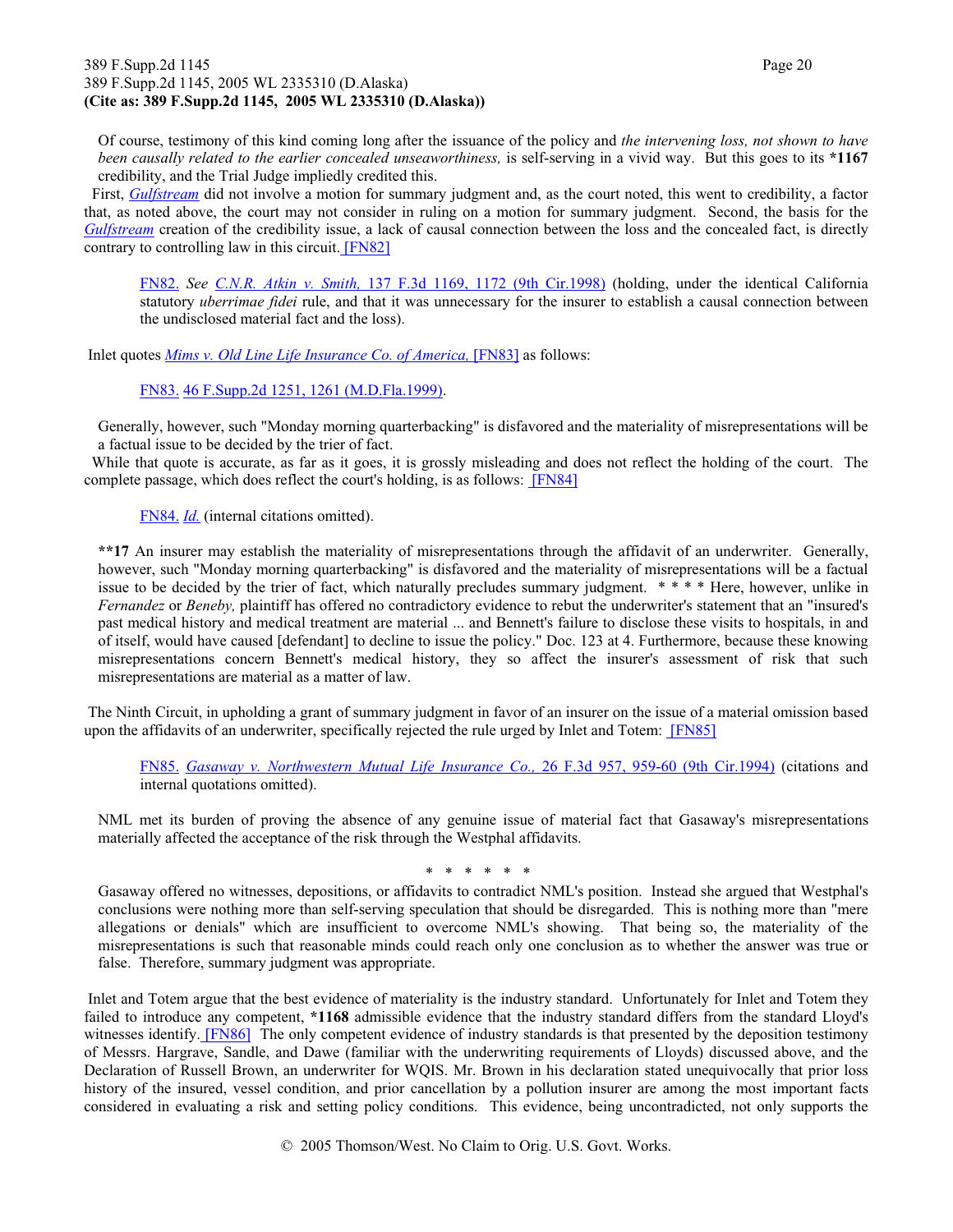#### 389 F.Supp.2d 1145 Page 20 389 F.Supp.2d 1145, 2005 WL 2335310 (D.Alaska) **(Cite as: 389 F.Supp.2d 1145, 2005 WL 2335310 (D.Alaska))**

Of course, testimony of this kind coming long after the issuance of the policy and *the intervening loss, not shown to have been causally related to the earlier concealed unseaworthiness,* is self-serving in a vivid way. But this goes to its **\*1167** credibility, and the Trial Judge impliedly credited this.

 First, *Gulfstream* did not involve a motion for summary judgment and, as the court noted, this went to credibility, a factor that, as noted above, the court may not consider in ruling on a motion for summary judgment. Second, the basis for the *Gulfstream* creation of the credibility issue, a lack of causal connection between the loss and the concealed fact, is directly contrary to controlling law in this circuit. [FN82]

FN82. *See C.N.R. Atkin v. Smith,* 137 F.3d 1169, 1172 (9th Cir.1998) (holding, under the identical California statutory *uberrimae fidei* rule, and that it was unnecessary for the insurer to establish a causal connection between the undisclosed material fact and the loss).

Inlet quotes *Mims v. Old Line Life Insurance Co. of America,* [FN83] as follows:

FN83. 46 F.Supp.2d 1251, 1261 (M.D.Fla.1999).

Generally, however, such "Monday morning quarterbacking" is disfavored and the materiality of misrepresentations will be a factual issue to be decided by the trier of fact.

 While that quote is accurate, as far as it goes, it is grossly misleading and does not reflect the holding of the court. The complete passage, which does reflect the court's holding, is as follows: [FN84]

FN84. *Id.* (internal citations omitted).

**\*\*17** An insurer may establish the materiality of misrepresentations through the affidavit of an underwriter. Generally, however, such "Monday morning quarterbacking" is disfavored and the materiality of misrepresentations will be a factual issue to be decided by the trier of fact, which naturally precludes summary judgment. \* \* \* \* Here, however, unlike in *Fernandez* or *Beneby,* plaintiff has offered no contradictory evidence to rebut the underwriter's statement that an "insured's past medical history and medical treatment are material ... and Bennett's failure to disclose these visits to hospitals, in and of itself, would have caused [defendant] to decline to issue the policy." Doc. 123 at 4. Furthermore, because these knowing misrepresentations concern Bennett's medical history, they so affect the insurer's assessment of risk that such misrepresentations are material as a matter of law.

 The Ninth Circuit, in upholding a grant of summary judgment in favor of an insurer on the issue of a material omission based upon the affidavits of an underwriter, specifically rejected the rule urged by Inlet and Totem: [FN85]

FN85. *Gasaway v. Northwestern Mutual Life Insurance Co.,* 26 F.3d 957, 959-60 (9th Cir.1994) (citations and internal quotations omitted).

NML met its burden of proving the absence of any genuine issue of material fact that Gasaway's misrepresentations materially affected the acceptance of the risk through the Westphal affidavits.

\* \* \* \* \* \*

Gasaway offered no witnesses, depositions, or affidavits to contradict NML's position. Instead she argued that Westphal's conclusions were nothing more than self-serving speculation that should be disregarded. This is nothing more than "mere allegations or denials" which are insufficient to overcome NML's showing. That being so, the materiality of the misrepresentations is such that reasonable minds could reach only one conclusion as to whether the answer was true or false. Therefore, summary judgment was appropriate.

 Inlet and Totem argue that the best evidence of materiality is the industry standard. Unfortunately for Inlet and Totem they failed to introduce any competent, **\*1168** admissible evidence that the industry standard differs from the standard Lloyd's witnesses identify. **[FN86]** The only competent evidence of industry standards is that presented by the deposition testimony of Messrs. Hargrave, Sandle, and Dawe (familiar with the underwriting requirements of Lloyds) discussed above, and the Declaration of Russell Brown, an underwriter for WQIS. Mr. Brown in his declaration stated unequivocally that prior loss history of the insured, vessel condition, and prior cancellation by a pollution insurer are among the most important facts considered in evaluating a risk and setting policy conditions. This evidence, being uncontradicted, not only supports the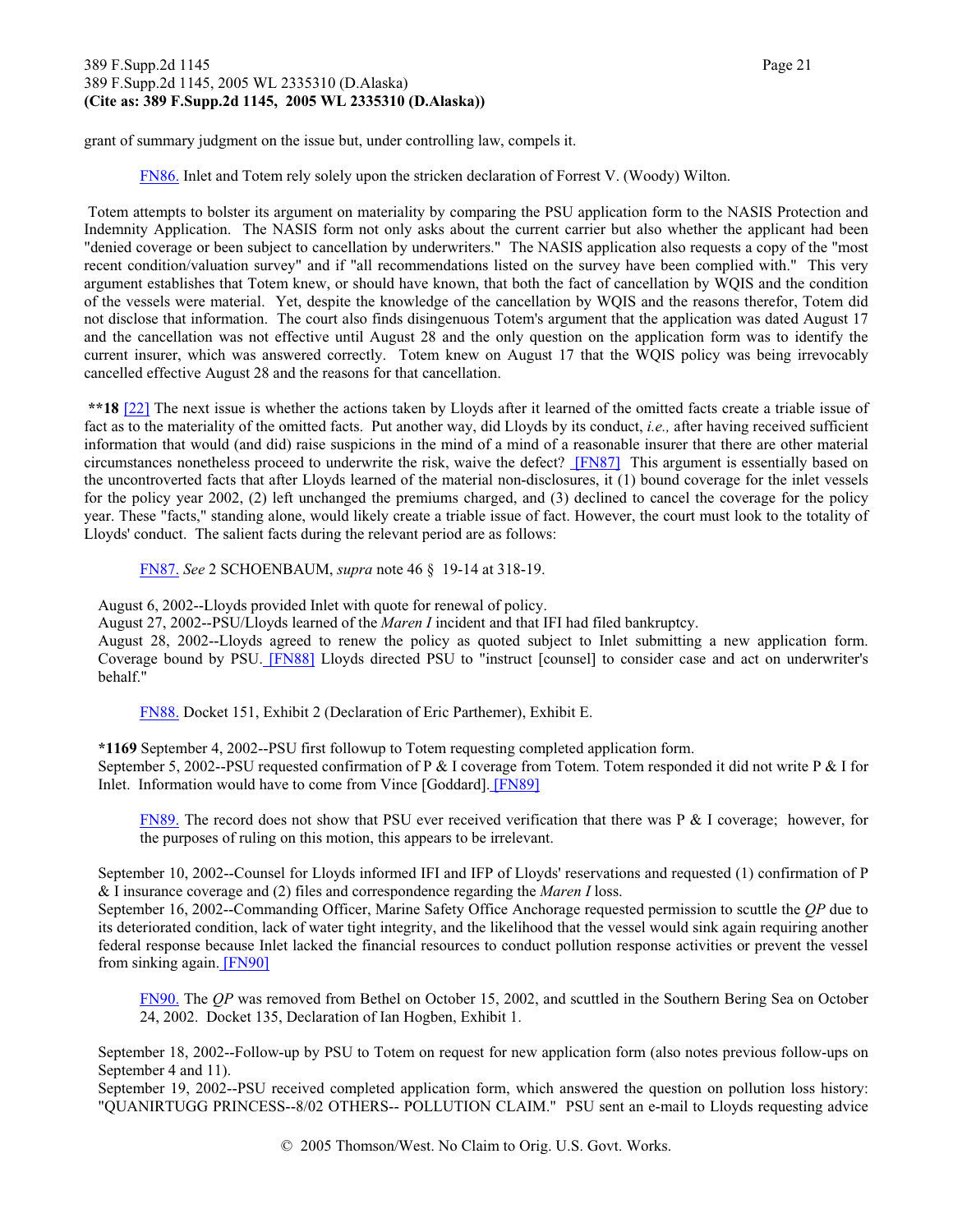#### 389 F.Supp.2d 1145 Page 21 389 F.Supp.2d 1145, 2005 WL 2335310 (D.Alaska) **(Cite as: 389 F.Supp.2d 1145, 2005 WL 2335310 (D.Alaska))**

grant of summary judgment on the issue but, under controlling law, compels it.

FN86. Inlet and Totem rely solely upon the stricken declaration of Forrest V. (Woody) Wilton.

 Totem attempts to bolster its argument on materiality by comparing the PSU application form to the NASIS Protection and Indemnity Application. The NASIS form not only asks about the current carrier but also whether the applicant had been "denied coverage or been subject to cancellation by underwriters." The NASIS application also requests a copy of the "most recent condition/valuation survey" and if "all recommendations listed on the survey have been complied with." This very argument establishes that Totem knew, or should have known, that both the fact of cancellation by WQIS and the condition of the vessels were material. Yet, despite the knowledge of the cancellation by WQIS and the reasons therefor, Totem did not disclose that information. The court also finds disingenuous Totem's argument that the application was dated August 17 and the cancellation was not effective until August 28 and the only question on the application form was to identify the current insurer, which was answered correctly. Totem knew on August 17 that the WQIS policy was being irrevocably cancelled effective August 28 and the reasons for that cancellation.

**\*\*18** [22] The next issue is whether the actions taken by Lloyds after it learned of the omitted facts create a triable issue of fact as to the materiality of the omitted facts. Put another way, did Lloyds by its conduct, *i.e.,* after having received sufficient information that would (and did) raise suspicions in the mind of a mind of a reasonable insurer that there are other material circumstances nonetheless proceed to underwrite the risk, waive the defect? **[FN87]** This argument is essentially based on the uncontroverted facts that after Lloyds learned of the material non-disclosures, it (1) bound coverage for the inlet vessels for the policy year 2002, (2) left unchanged the premiums charged, and (3) declined to cancel the coverage for the policy year. These "facts," standing alone, would likely create a triable issue of fact. However, the court must look to the totality of Lloyds' conduct. The salient facts during the relevant period are as follows:

FN87. *See* 2 SCHOENBAUM, *supra* note 46 § 19-14 at 318-19.

August 6, 2002--Lloyds provided Inlet with quote for renewal of policy.

August 27, 2002--PSU/Lloyds learned of the *Maren I* incident and that IFI had filed bankruptcy.

August 28, 2002--Lloyds agreed to renew the policy as quoted subject to Inlet submitting a new application form. Coverage bound by PSU. [FN88] Lloyds directed PSU to "instruct [counsel] to consider case and act on underwriter's behalf."

FN88. Docket 151, Exhibit 2 (Declaration of Eric Parthemer), Exhibit E.

**\*1169** September 4, 2002--PSU first followup to Totem requesting completed application form. September 5, 2002--PSU requested confirmation of P & I coverage from Totem. Totem responded it did not write P & I for Inlet. Information would have to come from Vince [Goddard]. [FN89]

FN89. The record does not show that PSU ever received verification that there was P & I coverage; however, for the purposes of ruling on this motion, this appears to be irrelevant.

September 10, 2002--Counsel for Lloyds informed IFI and IFP of Lloyds' reservations and requested (1) confirmation of P & I insurance coverage and (2) files and correspondence regarding the *Maren I* loss.

September 16, 2002--Commanding Officer, Marine Safety Office Anchorage requested permission to scuttle the *QP* due to its deteriorated condition, lack of water tight integrity, and the likelihood that the vessel would sink again requiring another federal response because Inlet lacked the financial resources to conduct pollution response activities or prevent the vessel from sinking again. [FN90]

FN90. The *QP* was removed from Bethel on October 15, 2002, and scuttled in the Southern Bering Sea on October 24, 2002. Docket 135, Declaration of Ian Hogben, Exhibit 1.

September 18, 2002--Follow-up by PSU to Totem on request for new application form (also notes previous follow-ups on September 4 and 11).

September 19, 2002--PSU received completed application form, which answered the question on pollution loss history: "QUANIRTUGG PRINCESS--8/02 OTHERS-- POLLUTION CLAIM." PSU sent an e-mail to Lloyds requesting advice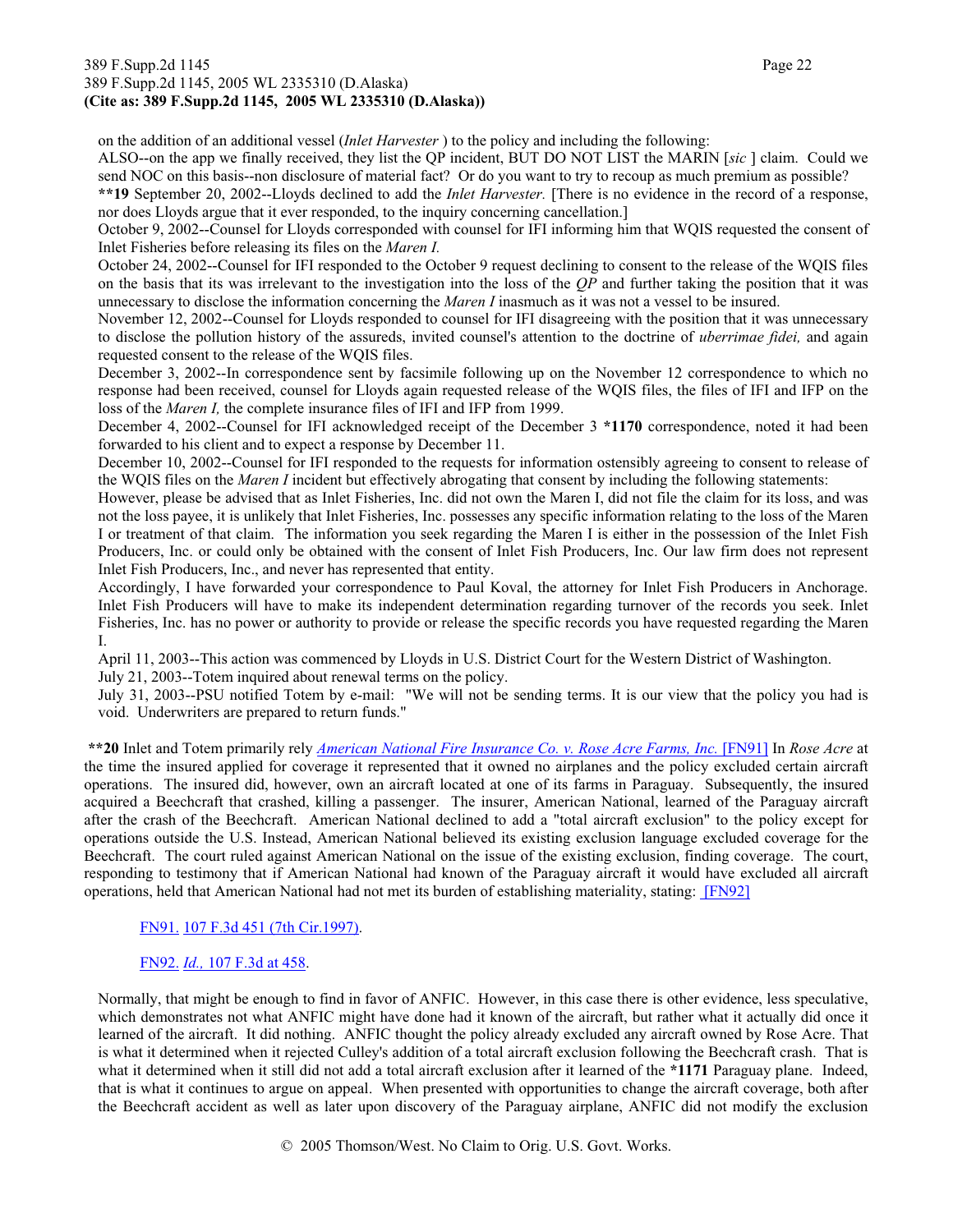#### 389 F.Supp.2d 1145 Page 22 389 F.Supp.2d 1145, 2005 WL 2335310 (D.Alaska) **(Cite as: 389 F.Supp.2d 1145, 2005 WL 2335310 (D.Alaska))**

on the addition of an additional vessel (*Inlet Harvester* ) to the policy and including the following:

ALSO--on the app we finally received, they list the QP incident, BUT DO NOT LIST the MARIN [*sic* ] claim. Could we send NOC on this basis--non disclosure of material fact? Or do you want to try to recoup as much premium as possible?

**\*\*19** September 20, 2002--Lloyds declined to add the *Inlet Harvester.* [There is no evidence in the record of a response, nor does Lloyds argue that it ever responded, to the inquiry concerning cancellation.]

October 9, 2002--Counsel for Lloyds corresponded with counsel for IFI informing him that WQIS requested the consent of Inlet Fisheries before releasing its files on the *Maren I.*

October 24, 2002--Counsel for IFI responded to the October 9 request declining to consent to the release of the WQIS files on the basis that its was irrelevant to the investigation into the loss of the *QP* and further taking the position that it was unnecessary to disclose the information concerning the *Maren I* inasmuch as it was not a vessel to be insured.

November 12, 2002--Counsel for Lloyds responded to counsel for IFI disagreeing with the position that it was unnecessary to disclose the pollution history of the assureds, invited counsel's attention to the doctrine of *uberrimae fidei,* and again requested consent to the release of the WQIS files.

December 3, 2002--In correspondence sent by facsimile following up on the November 12 correspondence to which no response had been received, counsel for Lloyds again requested release of the WQIS files, the files of IFI and IFP on the loss of the *Maren I,* the complete insurance files of IFI and IFP from 1999.

December 4, 2002--Counsel for IFI acknowledged receipt of the December 3 **\*1170** correspondence, noted it had been forwarded to his client and to expect a response by December 11.

December 10, 2002--Counsel for IFI responded to the requests for information ostensibly agreeing to consent to release of the WQIS files on the *Maren I* incident but effectively abrogating that consent by including the following statements:

However, please be advised that as Inlet Fisheries, Inc. did not own the Maren I, did not file the claim for its loss, and was not the loss payee, it is unlikely that Inlet Fisheries, Inc. possesses any specific information relating to the loss of the Maren I or treatment of that claim. The information you seek regarding the Maren I is either in the possession of the Inlet Fish Producers, Inc. or could only be obtained with the consent of Inlet Fish Producers, Inc. Our law firm does not represent Inlet Fish Producers, Inc., and never has represented that entity.

Accordingly, I have forwarded your correspondence to Paul Koval, the attorney for Inlet Fish Producers in Anchorage. Inlet Fish Producers will have to make its independent determination regarding turnover of the records you seek. Inlet Fisheries, Inc. has no power or authority to provide or release the specific records you have requested regarding the Maren I.

April 11, 2003--This action was commenced by Lloyds in U.S. District Court for the Western District of Washington.

July 21, 2003--Totem inquired about renewal terms on the policy.

July 31, 2003--PSU notified Totem by e-mail: "We will not be sending terms. It is our view that the policy you had is void. Underwriters are prepared to return funds."

**\*\*20** Inlet and Totem primarily rely *American National Fire Insurance Co. v. Rose Acre Farms, Inc.* [FN91] In *Rose Acre* at the time the insured applied for coverage it represented that it owned no airplanes and the policy excluded certain aircraft operations. The insured did, however, own an aircraft located at one of its farms in Paraguay. Subsequently, the insured acquired a Beechcraft that crashed, killing a passenger. The insurer, American National, learned of the Paraguay aircraft after the crash of the Beechcraft. American National declined to add a "total aircraft exclusion" to the policy except for operations outside the U.S. Instead, American National believed its existing exclusion language excluded coverage for the Beechcraft. The court ruled against American National on the issue of the existing exclusion, finding coverage. The court, responding to testimony that if American National had known of the Paraguay aircraft it would have excluded all aircraft operations, held that American National had not met its burden of establishing materiality, stating: [FN92]

#### FN91. 107 F.3d 451 (7th Cir.1997).

#### FN92. *Id.,* 107 F.3d at 458.

Normally, that might be enough to find in favor of ANFIC. However, in this case there is other evidence, less speculative, which demonstrates not what ANFIC might have done had it known of the aircraft, but rather what it actually did once it learned of the aircraft. It did nothing. ANFIC thought the policy already excluded any aircraft owned by Rose Acre. That is what it determined when it rejected Culley's addition of a total aircraft exclusion following the Beechcraft crash. That is what it determined when it still did not add a total aircraft exclusion after it learned of the **\*1171** Paraguay plane. Indeed, that is what it continues to argue on appeal. When presented with opportunities to change the aircraft coverage, both after the Beechcraft accident as well as later upon discovery of the Paraguay airplane, ANFIC did not modify the exclusion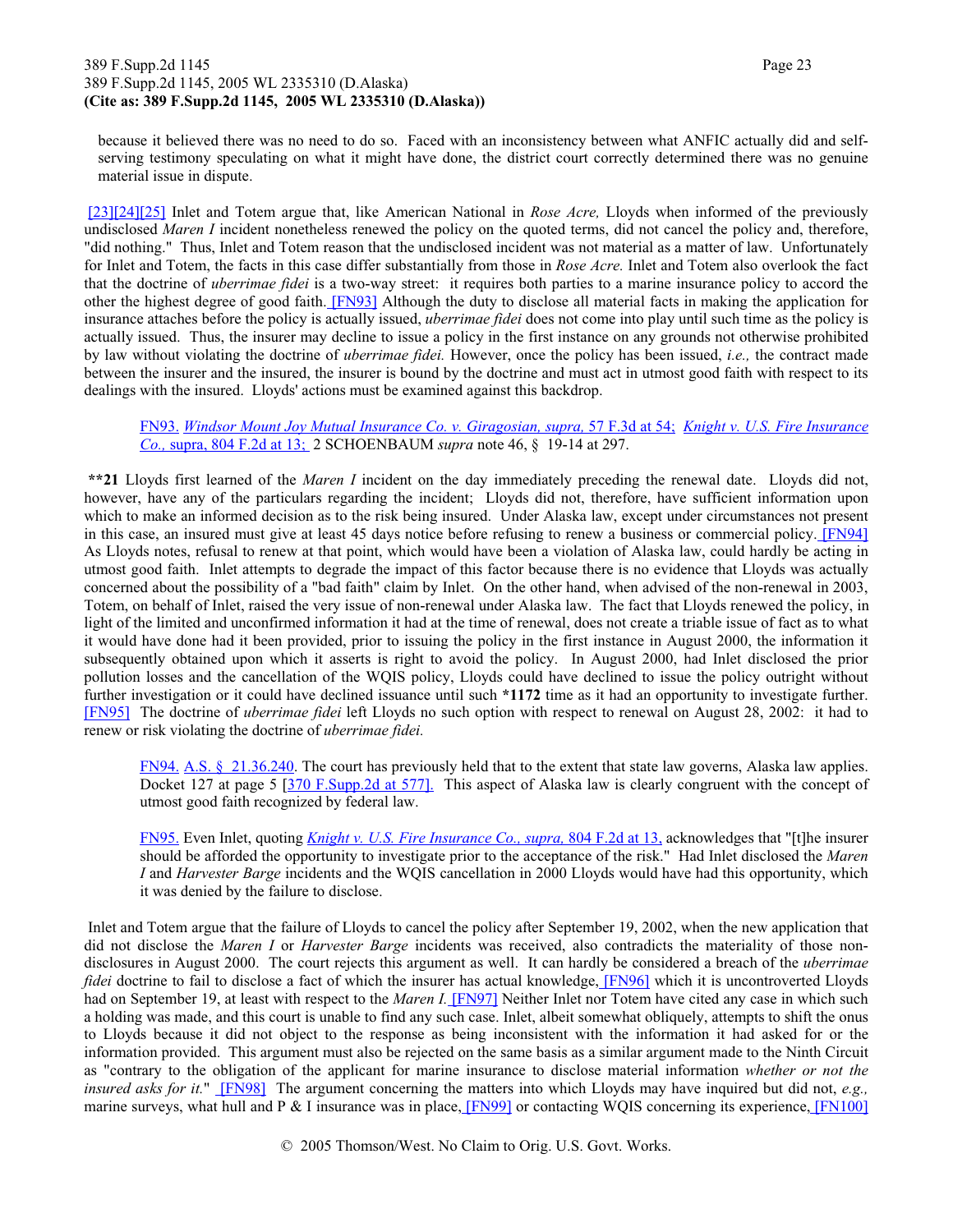#### 389 F.Supp.2d 1145 Page 23 389 F.Supp.2d 1145, 2005 WL 2335310 (D.Alaska) **(Cite as: 389 F.Supp.2d 1145, 2005 WL 2335310 (D.Alaska))**

because it believed there was no need to do so. Faced with an inconsistency between what ANFIC actually did and selfserving testimony speculating on what it might have done, the district court correctly determined there was no genuine material issue in dispute.

[23][24][25] Inlet and Totem argue that, like American National in *Rose Acre,* Lloyds when informed of the previously undisclosed *Maren I* incident nonetheless renewed the policy on the quoted terms, did not cancel the policy and, therefore, "did nothing." Thus, Inlet and Totem reason that the undisclosed incident was not material as a matter of law. Unfortunately for Inlet and Totem, the facts in this case differ substantially from those in *Rose Acre.* Inlet and Totem also overlook the fact that the doctrine of *uberrimae fidei* is a two-way street: it requires both parties to a marine insurance policy to accord the other the highest degree of good faith. [FN93] Although the duty to disclose all material facts in making the application for insurance attaches before the policy is actually issued, *uberrimae fidei* does not come into play until such time as the policy is actually issued. Thus, the insurer may decline to issue a policy in the first instance on any grounds not otherwise prohibited by law without violating the doctrine of *uberrimae fidei.* However, once the policy has been issued, *i.e.,* the contract made between the insurer and the insured, the insurer is bound by the doctrine and must act in utmost good faith with respect to its dealings with the insured. Lloyds' actions must be examined against this backdrop.

FN93. *Windsor Mount Joy Mutual Insurance Co. v. Giragosian, supra,* 57 F.3d at 54; *Knight v. U.S. Fire Insurance Co.,* supra, 804 F.2d at 13; 2 SCHOENBAUM *supra* note 46, § 19-14 at 297.

**\*\*21** Lloyds first learned of the *Maren I* incident on the day immediately preceding the renewal date. Lloyds did not, however, have any of the particulars regarding the incident; Lloyds did not, therefore, have sufficient information upon which to make an informed decision as to the risk being insured. Under Alaska law, except under circumstances not present in this case, an insured must give at least 45 days notice before refusing to renew a business or commercial policy. [FN94] As Lloyds notes, refusal to renew at that point, which would have been a violation of Alaska law, could hardly be acting in utmost good faith. Inlet attempts to degrade the impact of this factor because there is no evidence that Lloyds was actually concerned about the possibility of a "bad faith" claim by Inlet. On the other hand, when advised of the non-renewal in 2003, Totem, on behalf of Inlet, raised the very issue of non-renewal under Alaska law. The fact that Lloyds renewed the policy, in light of the limited and unconfirmed information it had at the time of renewal, does not create a triable issue of fact as to what it would have done had it been provided, prior to issuing the policy in the first instance in August 2000, the information it subsequently obtained upon which it asserts is right to avoid the policy. In August 2000, had Inlet disclosed the prior pollution losses and the cancellation of the WQIS policy, Lloyds could have declined to issue the policy outright without further investigation or it could have declined issuance until such **\*1172** time as it had an opportunity to investigate further. [FN95] The doctrine of *uberrimae fidei* left Lloyds no such option with respect to renewal on August 28, 2002: it had to renew or risk violating the doctrine of *uberrimae fidei.*

FN94. A.S.  $\S$  21.36.240. The court has previously held that to the extent that state law governs, Alaska law applies. Docket 127 at page 5 [370 F.Supp.2d at 577]. This aspect of Alaska law is clearly congruent with the concept of utmost good faith recognized by federal law.

FN95. Even Inlet, quoting *Knight v. U.S. Fire Insurance Co., supra,* 804 F.2d at 13, acknowledges that "[t]he insurer should be afforded the opportunity to investigate prior to the acceptance of the risk." Had Inlet disclosed the *Maren I* and *Harvester Barge* incidents and the WQIS cancellation in 2000 Lloyds would have had this opportunity, which it was denied by the failure to disclose.

 Inlet and Totem argue that the failure of Lloyds to cancel the policy after September 19, 2002, when the new application that did not disclose the *Maren I* or *Harvester Barge* incidents was received, also contradicts the materiality of those nondisclosures in August 2000. The court rejects this argument as well. It can hardly be considered a breach of the *uberrimae fidei* doctrine to fail to disclose a fact of which the insurer has actual knowledge, [FN96] which it is uncontroverted Lloyds had on September 19, at least with respect to the *Maren I*. [FN97] Neither Inlet nor Totem have cited any case in which such a holding was made, and this court is unable to find any such case. Inlet, albeit somewhat obliquely, attempts to shift the onus to Lloyds because it did not object to the response as being inconsistent with the information it had asked for or the information provided. This argument must also be rejected on the same basis as a similar argument made to the Ninth Circuit as "contrary to the obligation of the applicant for marine insurance to disclose material information *whether or not the insured asks for it.*" [FN98] The argument concerning the matters into which Lloyds may have inquired but did not, *e.g.,* marine surveys, what hull and P & I insurance was in place, [FN99] or contacting WQIS concerning its experience, [FN100]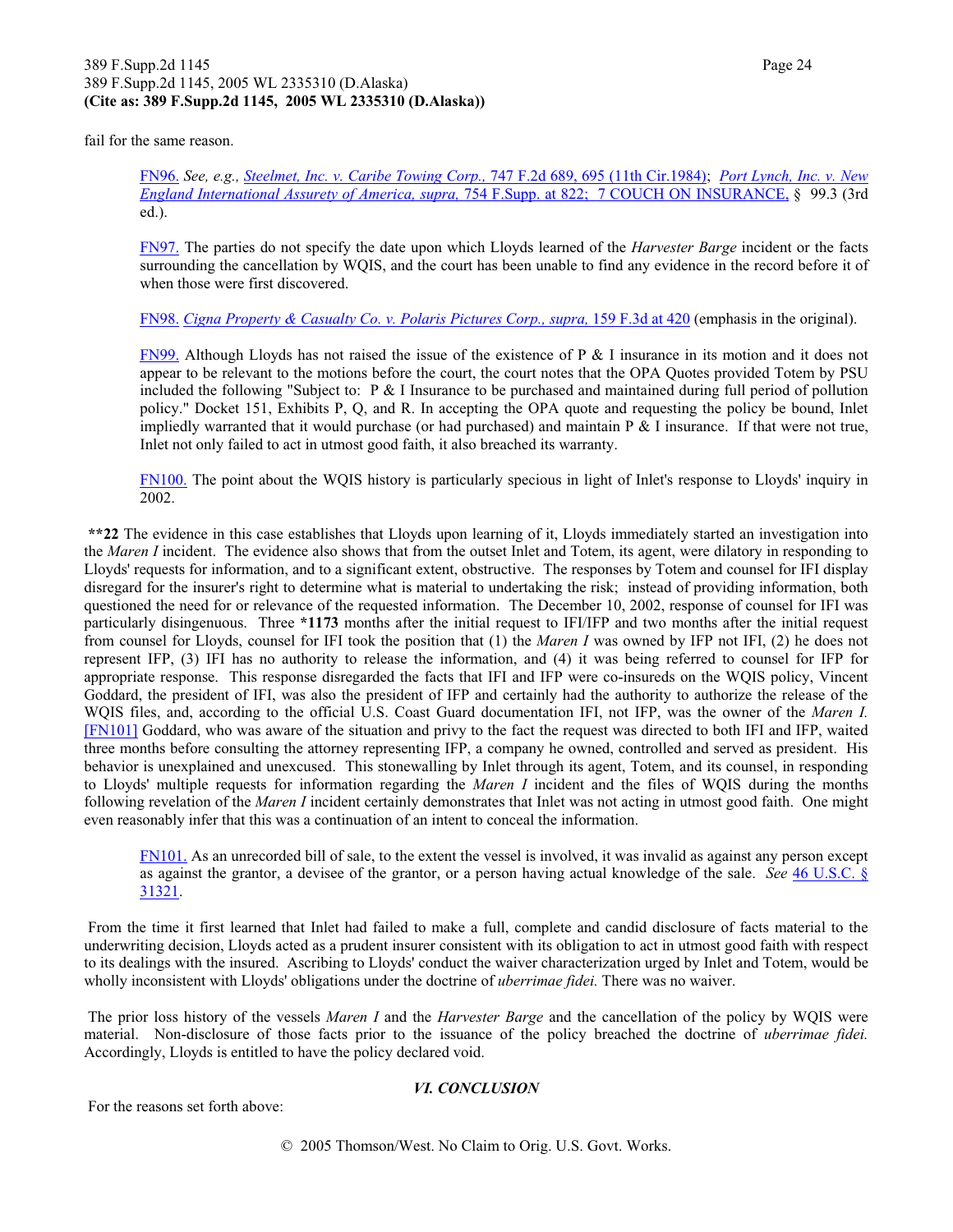#### 389 F.Supp.2d 1145 Page 24 389 F.Supp.2d 1145, 2005 WL 2335310 (D.Alaska) **(Cite as: 389 F.Supp.2d 1145, 2005 WL 2335310 (D.Alaska))**

fail for the same reason.

FN96. *See, e.g., Steelmet, Inc. v. Caribe Towing Corp.,* 747 F.2d 689, 695 (11th Cir.1984); *Port Lynch, Inc. v. New England International Assurety of America, supra,* 754 F.Supp. at 822; 7 COUCH ON INSURANCE, § 99.3 (3rd ed.).

FN97. The parties do not specify the date upon which Lloyds learned of the *Harvester Barge* incident or the facts surrounding the cancellation by WQIS, and the court has been unable to find any evidence in the record before it of when those were first discovered.

FN98. *Cigna Property & Casualty Co. v. Polaris Pictures Corp., supra,* 159 F.3d at 420 (emphasis in the original).

FN99. Although Lloyds has not raised the issue of the existence of P & I insurance in its motion and it does not appear to be relevant to the motions before the court, the court notes that the OPA Quotes provided Totem by PSU included the following "Subject to:  $P \& I$  Insurance to be purchased and maintained during full period of pollution policy." Docket 151, Exhibits P, Q, and R. In accepting the OPA quote and requesting the policy be bound, Inlet impliedly warranted that it would purchase (or had purchased) and maintain  $P \& S$  I insurance. If that were not true, Inlet not only failed to act in utmost good faith, it also breached its warranty.

FN100. The point about the WQIS history is particularly specious in light of Inlet's response to Lloyds' inquiry in 2002.

**\*\*22** The evidence in this case establishes that Lloyds upon learning of it, Lloyds immediately started an investigation into the *Maren I* incident. The evidence also shows that from the outset Inlet and Totem, its agent, were dilatory in responding to Lloyds' requests for information, and to a significant extent, obstructive. The responses by Totem and counsel for IFI display disregard for the insurer's right to determine what is material to undertaking the risk; instead of providing information, both questioned the need for or relevance of the requested information. The December 10, 2002, response of counsel for IFI was particularly disingenuous. Three **\*1173** months after the initial request to IFI/IFP and two months after the initial request from counsel for Lloyds, counsel for IFI took the position that (1) the *Maren I* was owned by IFP not IFI, (2) he does not represent IFP, (3) IFI has no authority to release the information, and (4) it was being referred to counsel for IFP for appropriate response. This response disregarded the facts that IFI and IFP were co-insureds on the WQIS policy, Vincent Goddard, the president of IFI, was also the president of IFP and certainly had the authority to authorize the release of the WQIS files, and, according to the official U.S. Coast Guard documentation IFI, not IFP, was the owner of the *Maren I.* [FN101] Goddard, who was aware of the situation and privy to the fact the request was directed to both IFI and IFP, waited three months before consulting the attorney representing IFP, a company he owned, controlled and served as president. His behavior is unexplained and unexcused. This stonewalling by Inlet through its agent, Totem, and its counsel, in responding to Lloyds' multiple requests for information regarding the *Maren I* incident and the files of WQIS during the months following revelation of the *Maren I* incident certainly demonstrates that Inlet was not acting in utmost good faith. One might even reasonably infer that this was a continuation of an intent to conceal the information.

FN101. As an unrecorded bill of sale, to the extent the vessel is involved, it was invalid as against any person except as against the grantor, a devisee of the grantor, or a person having actual knowledge of the sale. *See* 46 U.S.C. § 31321.

 From the time it first learned that Inlet had failed to make a full, complete and candid disclosure of facts material to the underwriting decision, Lloyds acted as a prudent insurer consistent with its obligation to act in utmost good faith with respect to its dealings with the insured. Ascribing to Lloyds' conduct the waiver characterization urged by Inlet and Totem, would be wholly inconsistent with Lloyds' obligations under the doctrine of *uberrimae fidei.* There was no waiver.

 The prior loss history of the vessels *Maren I* and the *Harvester Barge* and the cancellation of the policy by WQIS were material. Non-disclosure of those facts prior to the issuance of the policy breached the doctrine of *uberrimae fidei.* Accordingly, Lloyds is entitled to have the policy declared void.

#### *VI. CONCLUSION*

For the reasons set forth above: